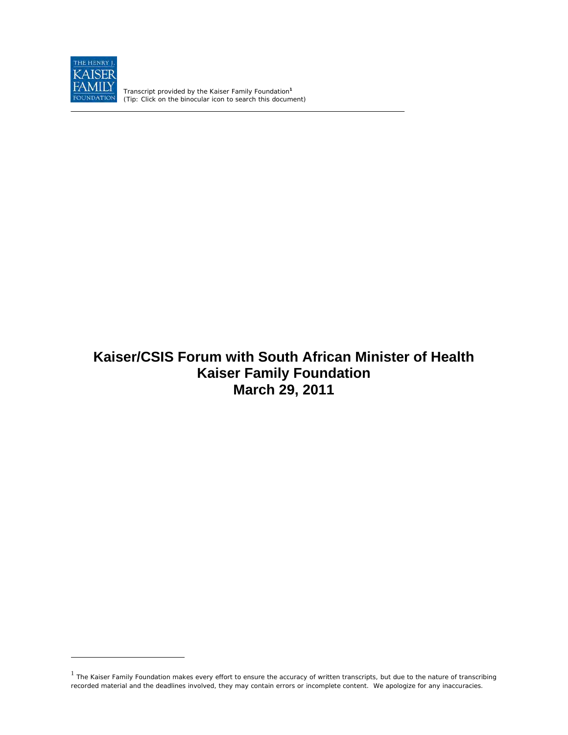

 $\overline{\phantom{a}}$ 

 Transcript provided by the Kaiser Family Foundation**<sup>1</sup>** *(Tip: Click on the binocular icon to search this document)* 

# **Kaiser/CSIS Forum with South African Minister of Health Kaiser Family Foundation March 29, 2011**

 $1$  The Kaiser Family Foundation makes every effort to ensure the accuracy of written transcripts, but due to the nature of transcribing recorded material and the deadlines involved, they may contain errors or incomplete content. We apologize for any inaccuracies.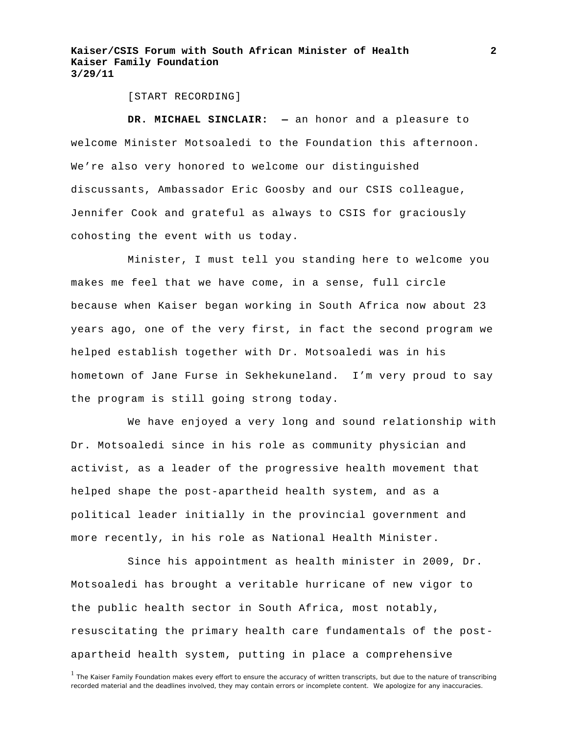[START RECORDING]

**DR. MICHAEL SINCLAIR: —** an honor and a pleasure to welcome Minister Motsoaledi to the Foundation this afternoon. We're also very honored to welcome our distinguished discussants, Ambassador Eric Goosby and our CSIS colleague, Jennifer Cook and grateful as always to CSIS for graciously cohosting the event with us today.

Minister, I must tell you standing here to welcome you makes me feel that we have come, in a sense, full circle because when Kaiser began working in South Africa now about 23 years ago, one of the very first, in fact the second program we helped establish together with Dr. Motsoaledi was in his hometown of Jane Furse in Sekhekuneland. I'm very proud to say the program is still going strong today.

We have enjoyed a very long and sound relationship with Dr. Motsoaledi since in his role as community physician and activist, as a leader of the progressive health movement that helped shape the post-apartheid health system, and as a political leader initially in the provincial government and more recently, in his role as National Health Minister.

Since his appointment as health minister in 2009, Dr. Motsoaledi has brought a veritable hurricane of new vigor to the public health sector in South Africa, most notably, resuscitating the primary health care fundamentals of the postapartheid health system, putting in place a comprehensive

<sup>&</sup>lt;sup>1</sup> The Kaiser Family Foundation makes every effort to ensure the accuracy of written transcripts, but due to the nature of transcribing recorded material and the deadlines involved, they may contain errors or incomplete content. We apologize for any inaccuracies.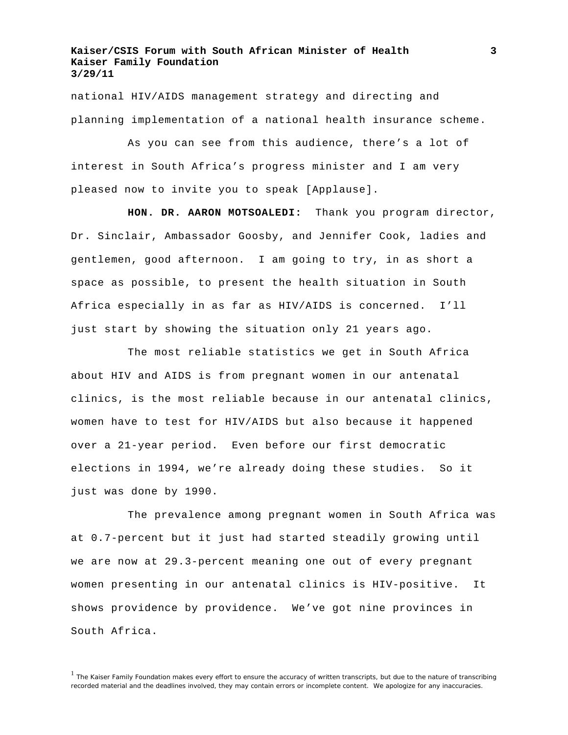national HIV/AIDS management strategy and directing and planning implementation of a national health insurance scheme.

As you can see from this audience, there's a lot of interest in South Africa's progress minister and I am very pleased now to invite you to speak [Applause].

**HON. DR. AARON MOTSOALEDI:** Thank you program director, Dr. Sinclair, Ambassador Goosby, and Jennifer Cook, ladies and gentlemen, good afternoon. I am going to try, in as short a space as possible, to present the health situation in South Africa especially in as far as HIV/AIDS is concerned. I'll just start by showing the situation only 21 years ago.

The most reliable statistics we get in South Africa about HIV and AIDS is from pregnant women in our antenatal clinics, is the most reliable because in our antenatal clinics, women have to test for HIV/AIDS but also because it happened over a 21-year period. Even before our first democratic elections in 1994, we're already doing these studies. So it just was done by 1990.

The prevalence among pregnant women in South Africa was at 0.7-percent but it just had started steadily growing until we are now at 29.3-percent meaning one out of every pregnant women presenting in our antenatal clinics is HIV-positive. It shows providence by providence. We've got nine provinces in South Africa.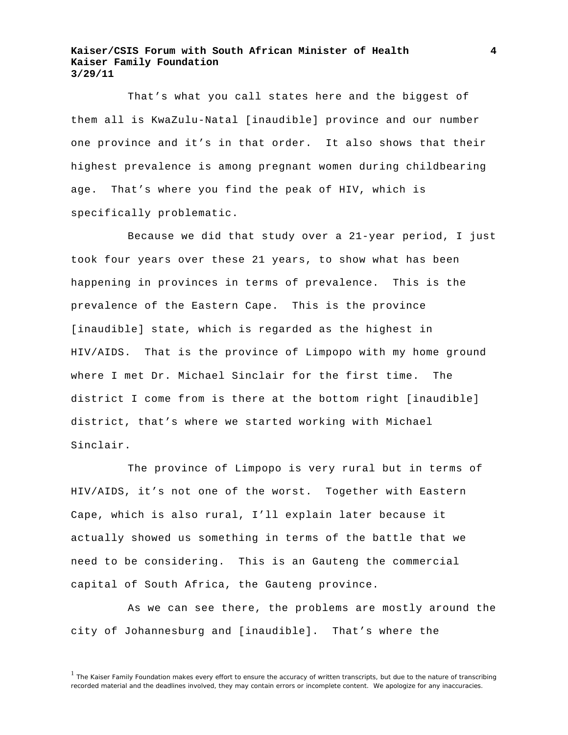That's what you call states here and the biggest of them all is KwaZulu-Natal [inaudible] province and our number one province and it's in that order. It also shows that their highest prevalence is among pregnant women during childbearing age. That's where you find the peak of HIV, which is specifically problematic.

Because we did that study over a 21-year period, I just took four years over these 21 years, to show what has been happening in provinces in terms of prevalence. This is the prevalence of the Eastern Cape. This is the province [inaudible] state, which is regarded as the highest in HIV/AIDS. That is the province of Limpopo with my home ground where I met Dr. Michael Sinclair for the first time. The district I come from is there at the bottom right [inaudible] district, that's where we started working with Michael Sinclair.

The province of Limpopo is very rural but in terms of HIV/AIDS, it's not one of the worst. Together with Eastern Cape, which is also rural, I'll explain later because it actually showed us something in terms of the battle that we need to be considering. This is an Gauteng the commercial capital of South Africa, the Gauteng province.

As we can see there, the problems are mostly around the city of Johannesburg and [inaudible]. That's where the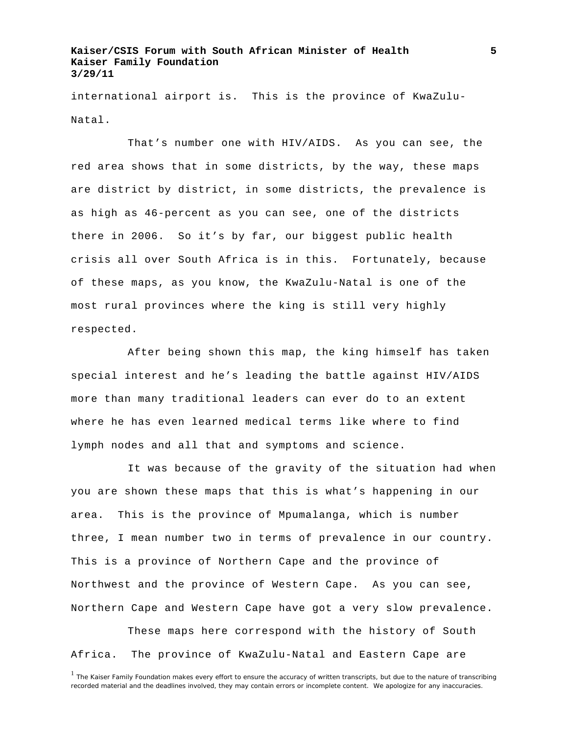international airport is. This is the province of KwaZulu-Natal.

That's number one with HIV/AIDS. As you can see, the red area shows that in some districts, by the way, these maps are district by district, in some districts, the prevalence is as high as 46-percent as you can see, one of the districts there in 2006. So it's by far, our biggest public health crisis all over South Africa is in this. Fortunately, because of these maps, as you know, the KwaZulu-Natal is one of the most rural provinces where the king is still very highly respected.

After being shown this map, the king himself has taken special interest and he's leading the battle against HIV/AIDS more than many traditional leaders can ever do to an extent where he has even learned medical terms like where to find lymph nodes and all that and symptoms and science.

It was because of the gravity of the situation had when you are shown these maps that this is what's happening in our area. This is the province of Mpumalanga, which is number three, I mean number two in terms of prevalence in our country. This is a province of Northern Cape and the province of Northwest and the province of Western Cape. As you can see, Northern Cape and Western Cape have got a very slow prevalence.

These maps here correspond with the history of South Africa. The province of KwaZulu-Natal and Eastern Cape are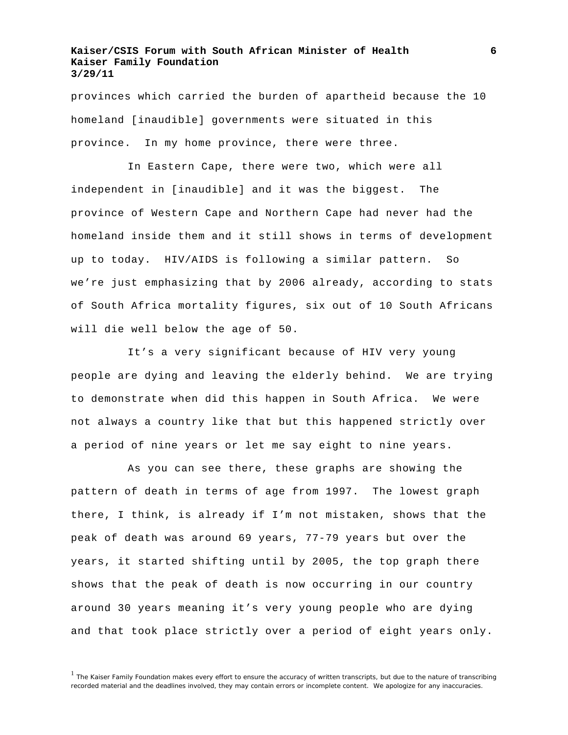provinces which carried the burden of apartheid because the 10 homeland [inaudible] governments were situated in this province. In my home province, there were three.

In Eastern Cape, there were two, which were all independent in [inaudible] and it was the biggest. The province of Western Cape and Northern Cape had never had the homeland inside them and it still shows in terms of development up to today. HIV/AIDS is following a similar pattern. So we're just emphasizing that by 2006 already, according to stats of South Africa mortality figures, six out of 10 South Africans will die well below the age of 50.

It's a very significant because of HIV very young people are dying and leaving the elderly behind. We are trying to demonstrate when did this happen in South Africa. We were not always a country like that but this happened strictly over a period of nine years or let me say eight to nine years.

As you can see there, these graphs are showing the pattern of death in terms of age from 1997. The lowest graph there, I think, is already if I'm not mistaken, shows that the peak of death was around 69 years, 77-79 years but over the years, it started shifting until by 2005, the top graph there shows that the peak of death is now occurring in our country around 30 years meaning it's very young people who are dying and that took place strictly over a period of eight years only.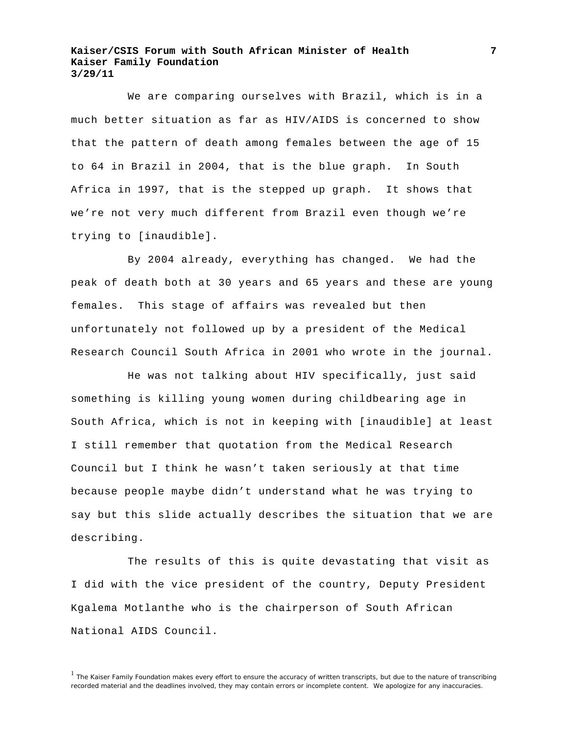We are comparing ourselves with Brazil, which is in a much better situation as far as HIV/AIDS is concerned to show that the pattern of death among females between the age of 15 to 64 in Brazil in 2004, that is the blue graph. In South Africa in 1997, that is the stepped up graph. It shows that we're not very much different from Brazil even though we're trying to [inaudible].

By 2004 already, everything has changed. We had the peak of death both at 30 years and 65 years and these are young females. This stage of affairs was revealed but then unfortunately not followed up by a president of the Medical Research Council South Africa in 2001 who wrote in the journal.

He was not talking about HIV specifically, just said something is killing young women during childbearing age in South Africa, which is not in keeping with [inaudible] at least I still remember that quotation from the Medical Research Council but I think he wasn't taken seriously at that time because people maybe didn't understand what he was trying to say but this slide actually describes the situation that we are describing.

The results of this is quite devastating that visit as I did with the vice president of the country, Deputy President Kgalema Motlanthe who is the chairperson of South African National AIDS Council.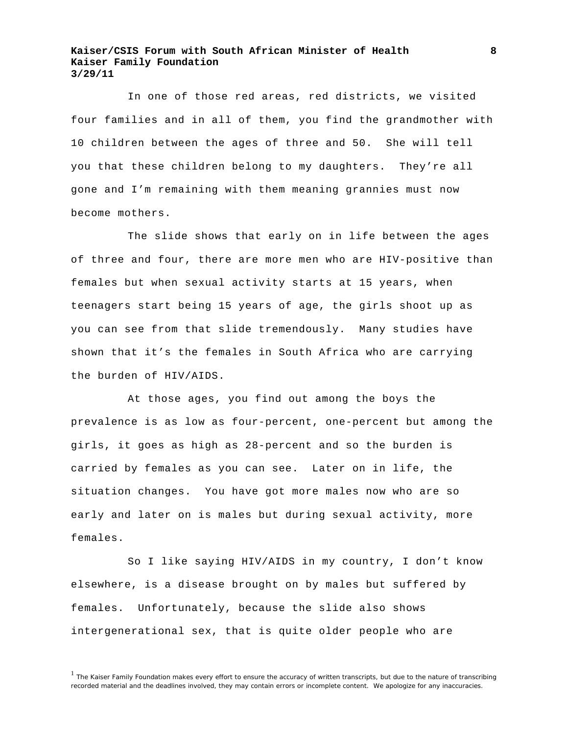In one of those red areas, red districts, we visited four families and in all of them, you find the grandmother with 10 children between the ages of three and 50. She will tell you that these children belong to my daughters. They're all gone and I'm remaining with them meaning grannies must now become mothers.

The slide shows that early on in life between the ages of three and four, there are more men who are HIV-positive than females but when sexual activity starts at 15 years, when teenagers start being 15 years of age, the girls shoot up as you can see from that slide tremendously. Many studies have shown that it's the females in South Africa who are carrying the burden of HIV/AIDS.

At those ages, you find out among the boys the prevalence is as low as four-percent, one-percent but among the girls, it goes as high as 28-percent and so the burden is carried by females as you can see. Later on in life, the situation changes. You have got more males now who are so early and later on is males but during sexual activity, more females.

So I like saying HIV/AIDS in my country, I don't know elsewhere, is a disease brought on by males but suffered by females. Unfortunately, because the slide also shows intergenerational sex, that is quite older people who are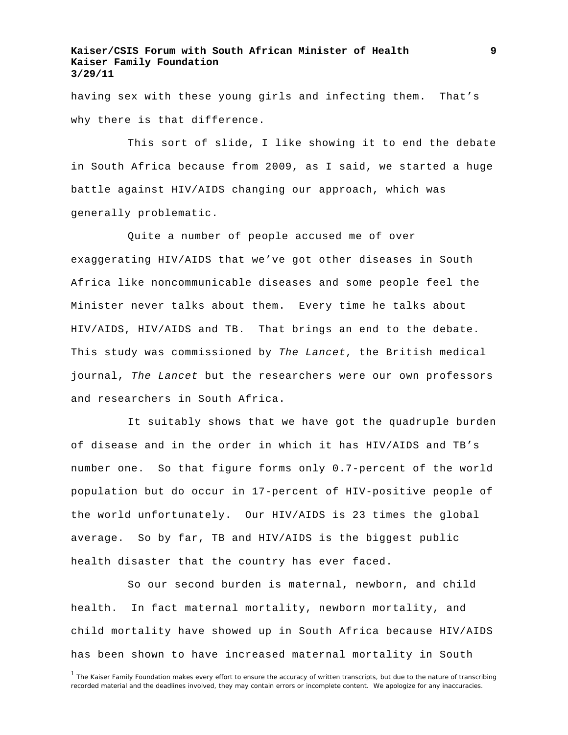having sex with these young girls and infecting them. That's why there is that difference.

This sort of slide, I like showing it to end the debate in South Africa because from 2009, as I said, we started a huge battle against HIV/AIDS changing our approach, which was generally problematic.

Quite a number of people accused me of over exaggerating HIV/AIDS that we've got other diseases in South Africa like noncommunicable diseases and some people feel the Minister never talks about them. Every time he talks about HIV/AIDS, HIV/AIDS and TB. That brings an end to the debate. This study was commissioned by *The Lancet*, the British medical journal, *The Lancet* but the researchers were our own professors and researchers in South Africa.

It suitably shows that we have got the quadruple burden of disease and in the order in which it has HIV/AIDS and TB's number one. So that figure forms only 0.7-percent of the world population but do occur in 17-percent of HIV-positive people of the world unfortunately. Our HIV/AIDS is 23 times the global average. So by far, TB and HIV/AIDS is the biggest public health disaster that the country has ever faced.

So our second burden is maternal, newborn, and child health. In fact maternal mortality, newborn mortality, and child mortality have showed up in South Africa because HIV/AIDS has been shown to have increased maternal mortality in South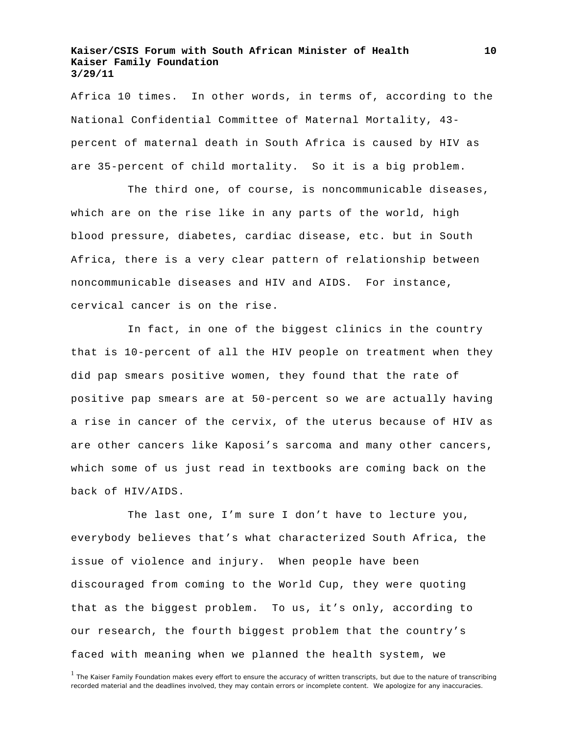Africa 10 times. In other words, in terms of, according to the National Confidential Committee of Maternal Mortality, 43 percent of maternal death in South Africa is caused by HIV as are 35-percent of child mortality. So it is a big problem.

The third one, of course, is noncommunicable diseases, which are on the rise like in any parts of the world, high blood pressure, diabetes, cardiac disease, etc. but in South Africa, there is a very clear pattern of relationship between noncommunicable diseases and HIV and AIDS. For instance, cervical cancer is on the rise.

In fact, in one of the biggest clinics in the country that is 10-percent of all the HIV people on treatment when they did pap smears positive women, they found that the rate of positive pap smears are at 50-percent so we are actually having a rise in cancer of the cervix, of the uterus because of HIV as are other cancers like Kaposi's sarcoma and many other cancers, which some of us just read in textbooks are coming back on the back of HIV/AIDS.

The last one, I'm sure I don't have to lecture you, everybody believes that's what characterized South Africa, the issue of violence and injury. When people have been discouraged from coming to the World Cup, they were quoting that as the biggest problem. To us, it's only, according to our research, the fourth biggest problem that the country's faced with meaning when we planned the health system, we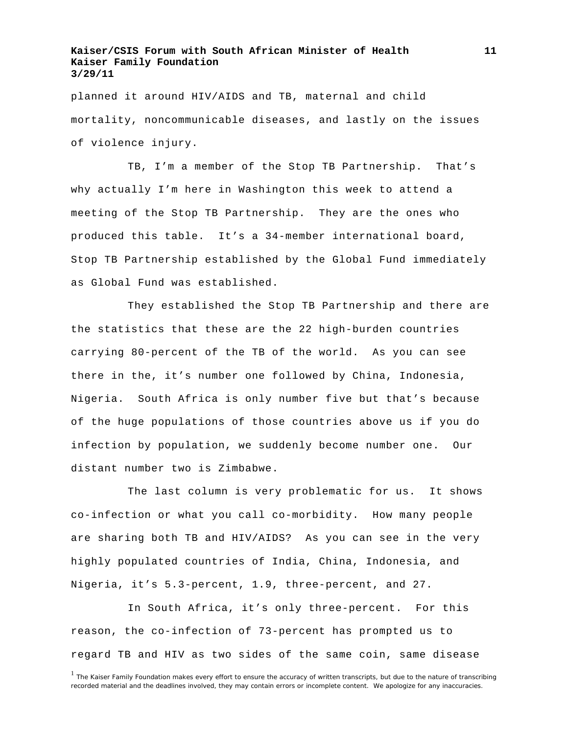planned it around HIV/AIDS and TB, maternal and child mortality, noncommunicable diseases, and lastly on the issues of violence injury.

TB, I'm a member of the Stop TB Partnership. That's why actually I'm here in Washington this week to attend a meeting of the Stop TB Partnership. They are the ones who produced this table. It's a 34-member international board, Stop TB Partnership established by the Global Fund immediately as Global Fund was established.

They established the Stop TB Partnership and there are the statistics that these are the 22 high-burden countries carrying 80-percent of the TB of the world. As you can see there in the, it's number one followed by China, Indonesia, Nigeria. South Africa is only number five but that's because of the huge populations of those countries above us if you do infection by population, we suddenly become number one. Our distant number two is Zimbabwe.

The last column is very problematic for us. It shows co-infection or what you call co-morbidity. How many people are sharing both TB and HIV/AIDS? As you can see in the very highly populated countries of India, China, Indonesia, and Nigeria, it's 5.3-percent, 1.9, three-percent, and 27.

In South Africa, it's only three-percent. For this reason, the co-infection of 73-percent has prompted us to regard TB and HIV as two sides of the same coin, same disease

**11**

<sup>&</sup>lt;sup>1</sup> The Kaiser Family Foundation makes every effort to ensure the accuracy of written transcripts, but due to the nature of transcribing recorded material and the deadlines involved, they may contain errors or incomplete content. We apologize for any inaccuracies.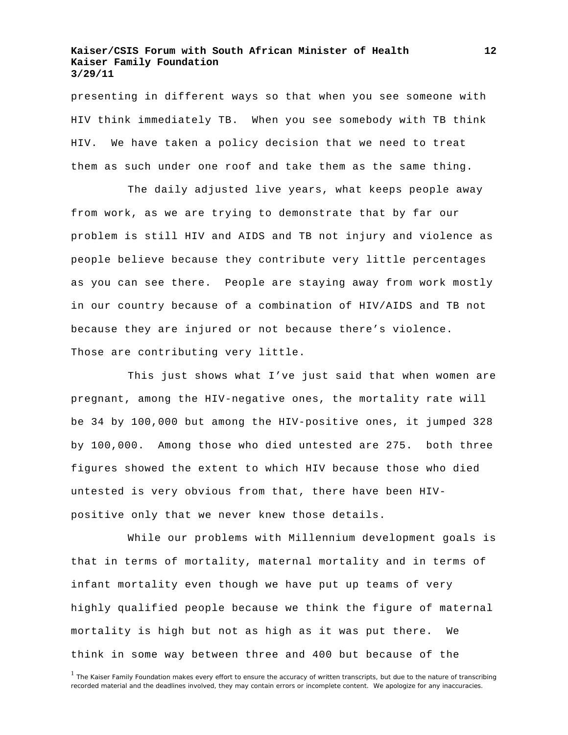presenting in different ways so that when you see someone with HIV think immediately TB. When you see somebody with TB think HIV. We have taken a policy decision that we need to treat them as such under one roof and take them as the same thing.

The daily adjusted live years, what keeps people away from work, as we are trying to demonstrate that by far our problem is still HIV and AIDS and TB not injury and violence as people believe because they contribute very little percentages as you can see there. People are staying away from work mostly in our country because of a combination of HIV/AIDS and TB not because they are injured or not because there's violence. Those are contributing very little.

This just shows what I've just said that when women are pregnant, among the HIV-negative ones, the mortality rate will be 34 by 100,000 but among the HIV-positive ones, it jumped 328 by 100,000. Among those who died untested are 275. both three figures showed the extent to which HIV because those who died untested is very obvious from that, there have been HIVpositive only that we never knew those details.

While our problems with Millennium development goals is that in terms of mortality, maternal mortality and in terms of infant mortality even though we have put up teams of very highly qualified people because we think the figure of maternal mortality is high but not as high as it was put there. We think in some way between three and 400 but because of the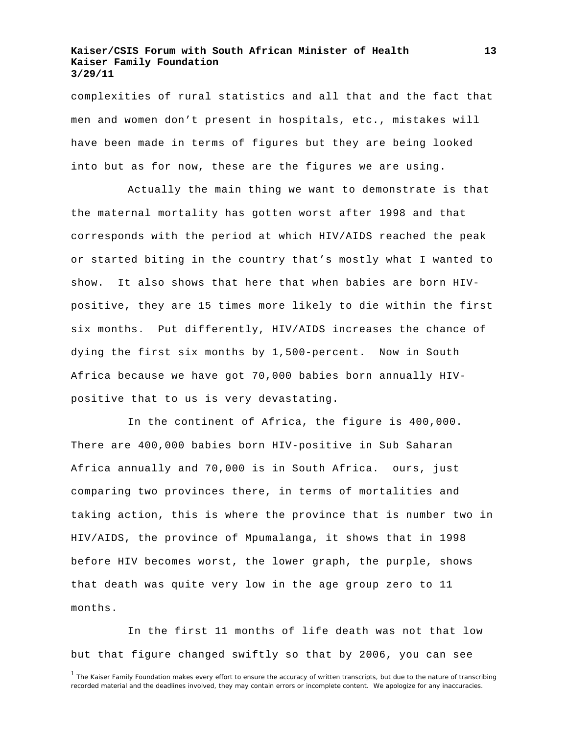complexities of rural statistics and all that and the fact that men and women don't present in hospitals, etc., mistakes will have been made in terms of figures but they are being looked into but as for now, these are the figures we are using.

Actually the main thing we want to demonstrate is that the maternal mortality has gotten worst after 1998 and that corresponds with the period at which HIV/AIDS reached the peak or started biting in the country that's mostly what I wanted to show. It also shows that here that when babies are born HIVpositive, they are 15 times more likely to die within the first six months. Put differently, HIV/AIDS increases the chance of dying the first six months by 1,500-percent. Now in South Africa because we have got 70,000 babies born annually HIVpositive that to us is very devastating.

In the continent of Africa, the figure is 400,000. There are 400,000 babies born HIV-positive in Sub Saharan Africa annually and 70,000 is in South Africa. ours, just comparing two provinces there, in terms of mortalities and taking action, this is where the province that is number two in HIV/AIDS, the province of Mpumalanga, it shows that in 1998 before HIV becomes worst, the lower graph, the purple, shows that death was quite very low in the age group zero to 11 months.

In the first 11 months of life death was not that low but that figure changed swiftly so that by 2006, you can see

<sup>&</sup>lt;sup>1</sup> The Kaiser Family Foundation makes every effort to ensure the accuracy of written transcripts, but due to the nature of transcribing recorded material and the deadlines involved, they may contain errors or incomplete content. We apologize for any inaccuracies.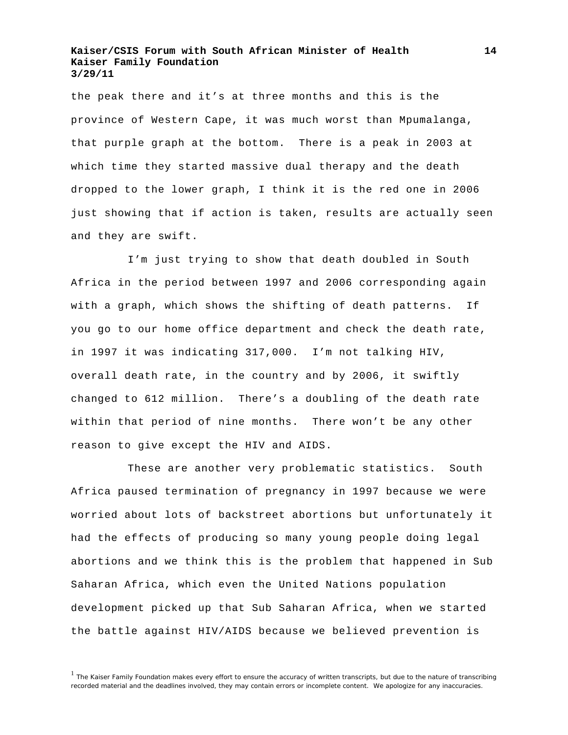the peak there and it's at three months and this is the province of Western Cape, it was much worst than Mpumalanga, that purple graph at the bottom. There is a peak in 2003 at which time they started massive dual therapy and the death dropped to the lower graph, I think it is the red one in 2006 just showing that if action is taken, results are actually seen and they are swift.

I'm just trying to show that death doubled in South Africa in the period between 1997 and 2006 corresponding again with a graph, which shows the shifting of death patterns. If you go to our home office department and check the death rate, in 1997 it was indicating 317,000. I'm not talking HIV, overall death rate, in the country and by 2006, it swiftly changed to 612 million. There's a doubling of the death rate within that period of nine months. There won't be any other reason to give except the HIV and AIDS.

These are another very problematic statistics. South Africa paused termination of pregnancy in 1997 because we were worried about lots of backstreet abortions but unfortunately it had the effects of producing so many young people doing legal abortions and we think this is the problem that happened in Sub Saharan Africa, which even the United Nations population development picked up that Sub Saharan Africa, when we started the battle against HIV/AIDS because we believed prevention is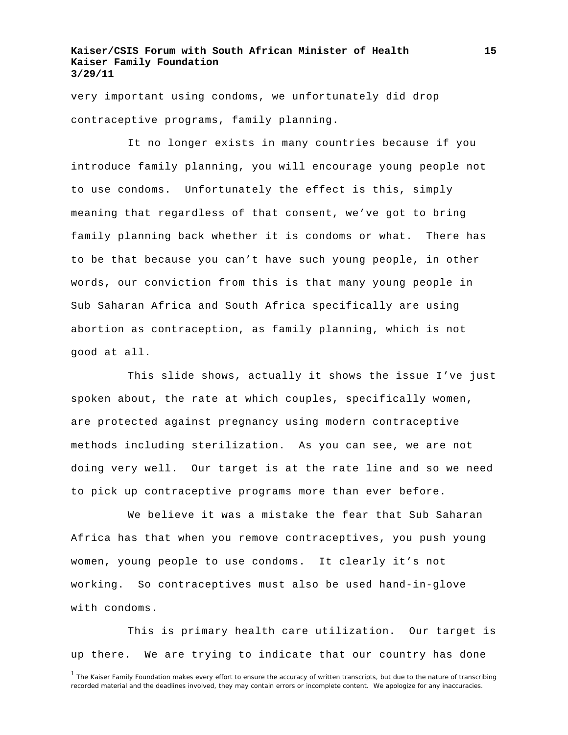very important using condoms, we unfortunately did drop contraceptive programs, family planning.

It no longer exists in many countries because if you introduce family planning, you will encourage young people not to use condoms. Unfortunately the effect is this, simply meaning that regardless of that consent, we've got to bring family planning back whether it is condoms or what. There has to be that because you can't have such young people, in other words, our conviction from this is that many young people in Sub Saharan Africa and South Africa specifically are using abortion as contraception, as family planning, which is not good at all.

This slide shows, actually it shows the issue I've just spoken about, the rate at which couples, specifically women, are protected against pregnancy using modern contraceptive methods including sterilization. As you can see, we are not doing very well. Our target is at the rate line and so we need to pick up contraceptive programs more than ever before.

We believe it was a mistake the fear that Sub Saharan Africa has that when you remove contraceptives, you push young women, young people to use condoms. It clearly it's not working. So contraceptives must also be used hand-in-glove with condoms.

<sup>1</sup> The Kaiser Family Foundation makes every effort to ensure the accuracy of written transcripts, but due to the nature of transcribing recorded material and the deadlines involved, they may contain errors or incomplete content. We apologize for any inaccuracies. This is primary health care utilization. Our target is up there. We are trying to indicate that our country has done

**15**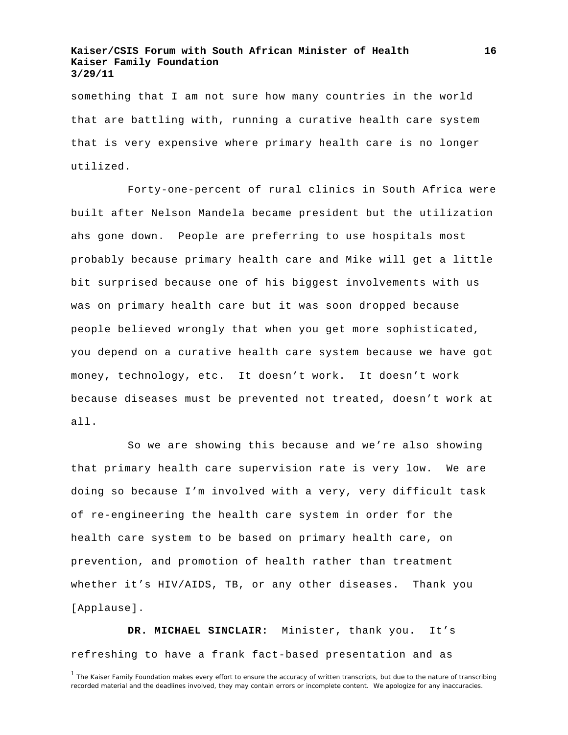something that I am not sure how many countries in the world that are battling with, running a curative health care system that is very expensive where primary health care is no longer utilized.

Forty-one-percent of rural clinics in South Africa were built after Nelson Mandela became president but the utilization ahs gone down. People are preferring to use hospitals most probably because primary health care and Mike will get a little bit surprised because one of his biggest involvements with us was on primary health care but it was soon dropped because people believed wrongly that when you get more sophisticated, you depend on a curative health care system because we have got money, technology, etc. It doesn't work. It doesn't work because diseases must be prevented not treated, doesn't work at all.

So we are showing this because and we're also showing that primary health care supervision rate is very low. We are doing so because I'm involved with a very, very difficult task of re-engineering the health care system in order for the health care system to be based on primary health care, on prevention, and promotion of health rather than treatment whether it's HIV/AIDS, TB, or any other diseases. Thank you [Applause].

**DR. MICHAEL SINCLAIR:** Minister, thank you. It's refreshing to have a frank fact-based presentation and as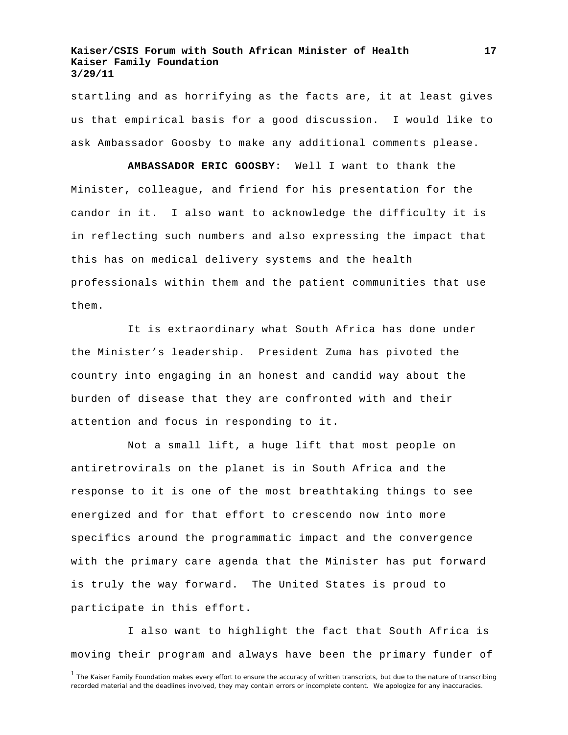startling and as horrifying as the facts are, it at least gives us that empirical basis for a good discussion. I would like to ask Ambassador Goosby to make any additional comments please.

**AMBASSADOR ERIC GOOSBY:** Well I want to thank the Minister, colleague, and friend for his presentation for the candor in it. I also want to acknowledge the difficulty it is in reflecting such numbers and also expressing the impact that this has on medical delivery systems and the health professionals within them and the patient communities that use them.

It is extraordinary what South Africa has done under the Minister's leadership. President Zuma has pivoted the country into engaging in an honest and candid way about the burden of disease that they are confronted with and their attention and focus in responding to it.

Not a small lift, a huge lift that most people on antiretrovirals on the planet is in South Africa and the response to it is one of the most breathtaking things to see energized and for that effort to crescendo now into more specifics around the programmatic impact and the convergence with the primary care agenda that the Minister has put forward is truly the way forward. The United States is proud to participate in this effort.

I also want to highlight the fact that South Africa is moving their program and always have been the primary funder of

**17**

<sup>&</sup>lt;sup>1</sup> The Kaiser Family Foundation makes every effort to ensure the accuracy of written transcripts, but due to the nature of transcribing recorded material and the deadlines involved, they may contain errors or incomplete content. We apologize for any inaccuracies.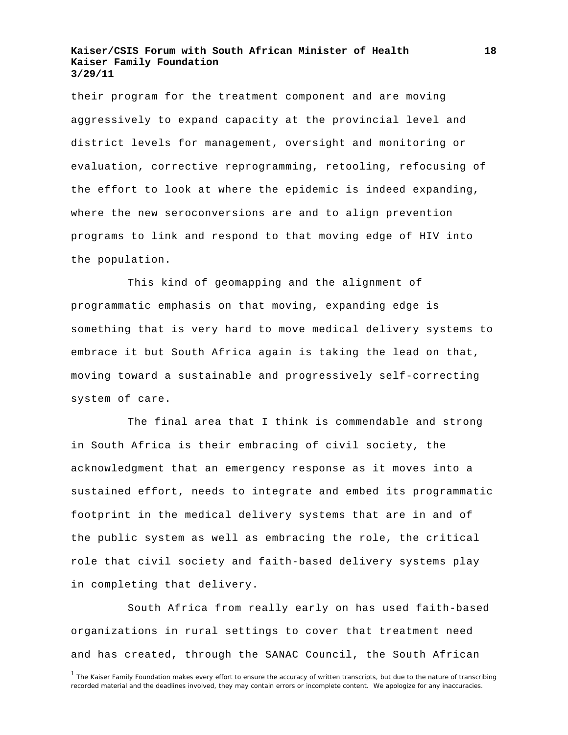their program for the treatment component and are moving aggressively to expand capacity at the provincial level and district levels for management, oversight and monitoring or evaluation, corrective reprogramming, retooling, refocusing of the effort to look at where the epidemic is indeed expanding, where the new seroconversions are and to align prevention programs to link and respond to that moving edge of HIV into the population.

This kind of geomapping and the alignment of programmatic emphasis on that moving, expanding edge is something that is very hard to move medical delivery systems to embrace it but South Africa again is taking the lead on that, moving toward a sustainable and progressively self-correcting system of care.

The final area that I think is commendable and strong in South Africa is their embracing of civil society, the acknowledgment that an emergency response as it moves into a sustained effort, needs to integrate and embed its programmatic footprint in the medical delivery systems that are in and of the public system as well as embracing the role, the critical role that civil society and faith-based delivery systems play in completing that delivery.

South Africa from really early on has used faith-based organizations in rural settings to cover that treatment need and has created, through the SANAC Council, the South African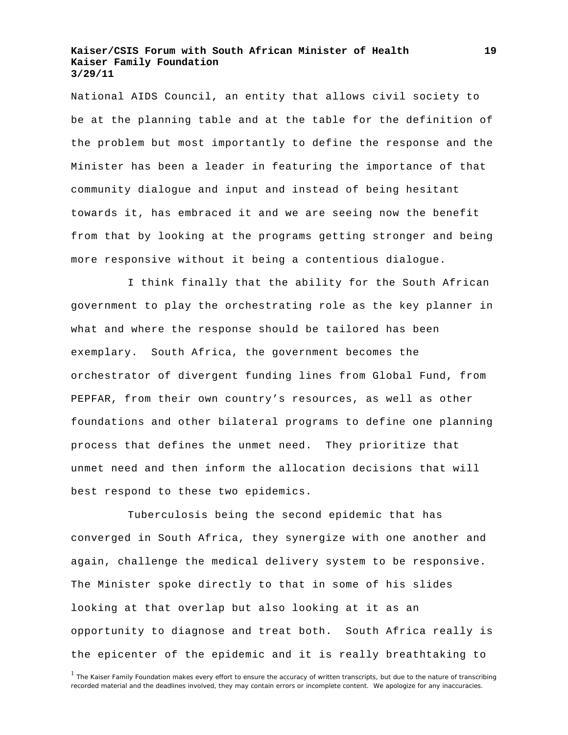National AIDS Council, an entity that allows civil society to be at the planning table and at the table for the definition of the problem but most importantly to define the response and the Minister has been a leader in featuring the importance of that community dialogue and input and instead of being hesitant towards it, has embraced it and we are seeing now the benefit from that by looking at the programs getting stronger and being more responsive without it being a contentious dialogue.

I think finally that the ability for the South African government to play the orchestrating role as the key planner in what and where the response should be tailored has been exemplary. South Africa, the government becomes the orchestrator of divergent funding lines from Global Fund, from PEPFAR, from their own country's resources, as well as other foundations and other bilateral programs to define one planning process that defines the unmet need. They prioritize that unmet need and then inform the allocation decisions that will best respond to these two epidemics.

Tuberculosis being the second epidemic that has converged in South Africa, they synergize with one another and again, challenge the medical delivery system to be responsive. The Minister spoke directly to that in some of his slides looking at that overlap but also looking at it as an opportunity to diagnose and treat both. South Africa really is the epicenter of the epidemic and it is really breathtaking to

<sup>&</sup>lt;sup>1</sup> The Kaiser Family Foundation makes every effort to ensure the accuracy of written transcripts, but due to the nature of transcribing recorded material and the deadlines involved, they may contain errors or incomplete content. We apologize for any inaccuracies.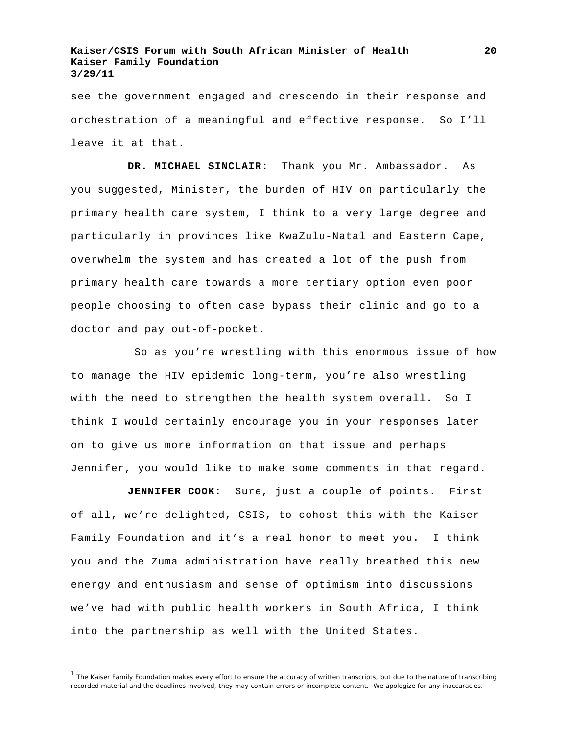see the government engaged and crescendo in their response and orchestration of a meaningful and effective response. So I'll leave it at that.

**DR. MICHAEL SINCLAIR:** Thank you Mr. Ambassador. As you suggested, Minister, the burden of HIV on particularly the primary health care system, I think to a very large degree and particularly in provinces like KwaZulu-Natal and Eastern Cape, overwhelm the system and has created a lot of the push from primary health care towards a more tertiary option even poor people choosing to often case bypass their clinic and go to a doctor and pay out-of-pocket.

 So as you're wrestling with this enormous issue of how to manage the HIV epidemic long-term, you're also wrestling with the need to strengthen the health system overall**.** So I think I would certainly encourage you in your responses later on to give us more information on that issue and perhaps Jennifer, you would like to make some comments in that regard.

**JENNIFER COOK:** Sure, just a couple of points. First of all, we're delighted, CSIS, to cohost this with the Kaiser Family Foundation and it's a real honor to meet you. I think you and the Zuma administration have really breathed this new energy and enthusiasm and sense of optimism into discussions we've had with public health workers in South Africa, I think into the partnership as well with the United States.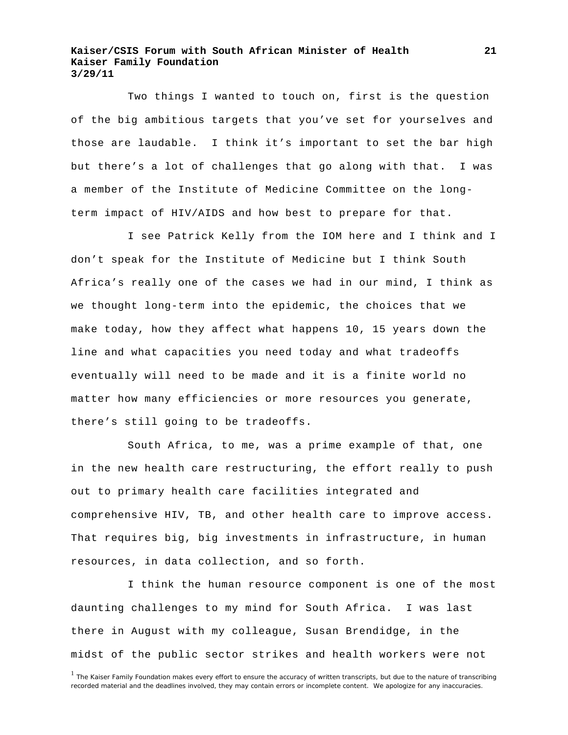Two things I wanted to touch on, first is the question of the big ambitious targets that you've set for yourselves and those are laudable. I think it's important to set the bar high but there's a lot of challenges that go along with that. I was a member of the Institute of Medicine Committee on the longterm impact of HIV/AIDS and how best to prepare for that.

I see Patrick Kelly from the IOM here and I think and I don't speak for the Institute of Medicine but I think South Africa's really one of the cases we had in our mind, I think as we thought long-term into the epidemic, the choices that we make today, how they affect what happens 10, 15 years down the line and what capacities you need today and what tradeoffs eventually will need to be made and it is a finite world no matter how many efficiencies or more resources you generate, there's still going to be tradeoffs.

South Africa, to me, was a prime example of that, one in the new health care restructuring, the effort really to push out to primary health care facilities integrated and comprehensive HIV, TB, and other health care to improve access. That requires big, big investments in infrastructure, in human resources, in data collection, and so forth.

I think the human resource component is one of the most daunting challenges to my mind for South Africa. I was last there in August with my colleague, Susan Brendidge, in the midst of the public sector strikes and health workers were not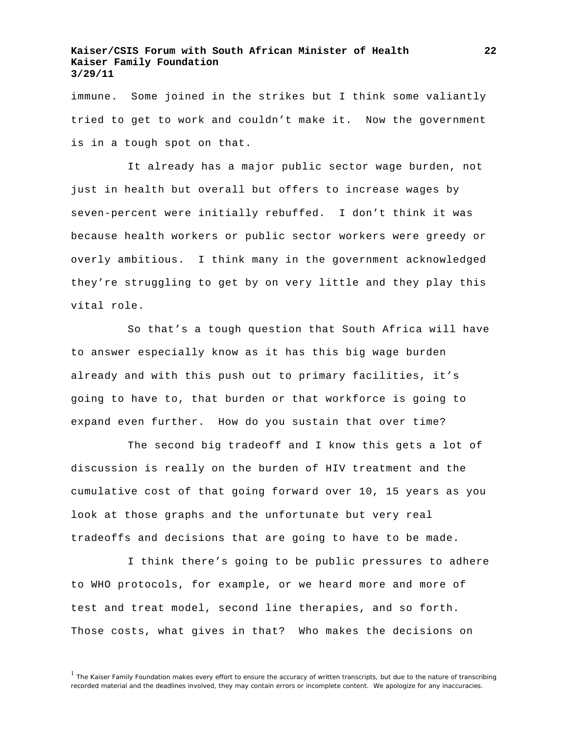immune. Some joined in the strikes but I think some valiantly tried to get to work and couldn't make it. Now the government is in a tough spot on that.

It already has a major public sector wage burden, not just in health but overall but offers to increase wages by seven-percent were initially rebuffed. I don't think it was because health workers or public sector workers were greedy or overly ambitious. I think many in the government acknowledged they're struggling to get by on very little and they play this vital role.

So that's a tough question that South Africa will have to answer especially know as it has this big wage burden already and with this push out to primary facilities, it's going to have to, that burden or that workforce is going to expand even further. How do you sustain that over time?

The second big tradeoff and I know this gets a lot of discussion is really on the burden of HIV treatment and the cumulative cost of that going forward over 10, 15 years as you look at those graphs and the unfortunate but very real tradeoffs and decisions that are going to have to be made.

I think there's going to be public pressures to adhere to WHO protocols, for example, or we heard more and more of test and treat model, second line therapies, and so forth. Those costs, what gives in that? Who makes the decisions on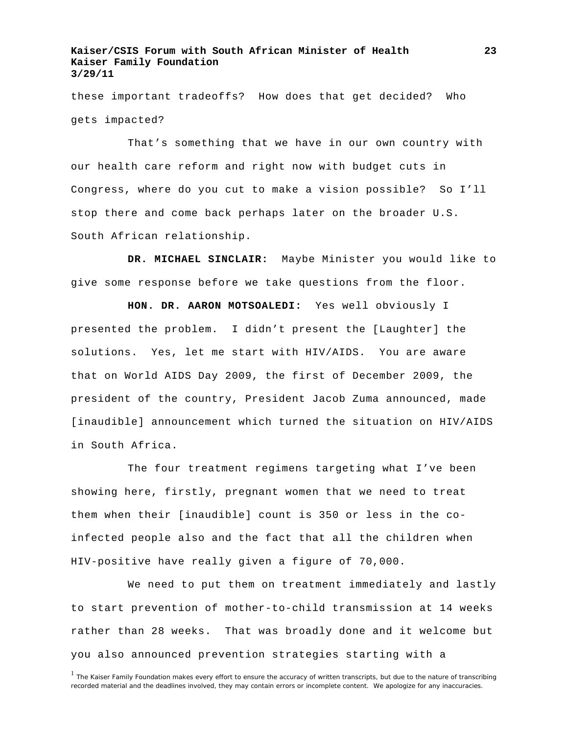these important tradeoffs? How does that get decided? Who gets impacted?

That's something that we have in our own country with our health care reform and right now with budget cuts in Congress, where do you cut to make a vision possible? So I'll stop there and come back perhaps later on the broader U.S. South African relationship.

**DR. MICHAEL SINCLAIR:** Maybe Minister you would like to give some response before we take questions from the floor.

**HON. DR. AARON MOTSOALEDI:** Yes well obviously I presented the problem. I didn't present the [Laughter] the solutions. Yes, let me start with HIV/AIDS. You are aware that on World AIDS Day 2009, the first of December 2009, the president of the country, President Jacob Zuma announced, made [inaudible] announcement which turned the situation on HIV/AIDS in South Africa.

The four treatment regimens targeting what I've been showing here, firstly, pregnant women that we need to treat them when their [inaudible] count is 350 or less in the coinfected people also and the fact that all the children when HIV-positive have really given a figure of 70,000.

We need to put them on treatment immediately and lastly to start prevention of mother-to-child transmission at 14 weeks rather than 28 weeks. That was broadly done and it welcome but you also announced prevention strategies starting with a

**23**

<sup>&</sup>lt;sup>1</sup> The Kaiser Family Foundation makes every effort to ensure the accuracy of written transcripts, but due to the nature of transcribing recorded material and the deadlines involved, they may contain errors or incomplete content. We apologize for any inaccuracies.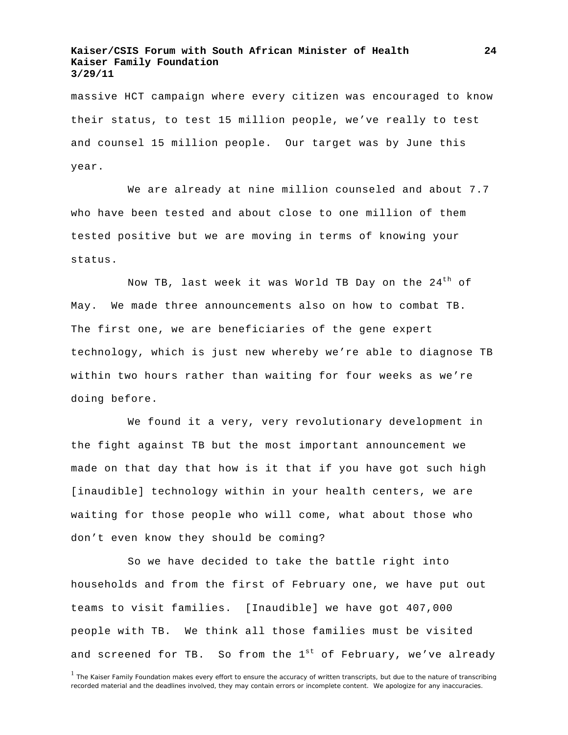massive HCT campaign where every citizen was encouraged to know their status, to test 15 million people, we've really to test and counsel 15 million people. Our target was by June this year.

We are already at nine million counseled and about 7.7 who have been tested and about close to one million of them tested positive but we are moving in terms of knowing your status.

Now TB, last week it was World TB Day on the 24<sup>th</sup> of May. We made three announcements also on how to combat TB. The first one, we are beneficiaries of the gene expert technology, which is just new whereby we're able to diagnose TB within two hours rather than waiting for four weeks as we're doing before.

We found it a very, very revolutionary development in the fight against TB but the most important announcement we made on that day that how is it that if you have got such high [inaudible] technology within in your health centers, we are waiting for those people who will come, what about those who don't even know they should be coming?

So we have decided to take the battle right into households and from the first of February one, we have put out teams to visit families. [Inaudible] we have got 407,000 people with TB. We think all those families must be visited and screened for TB. So from the  $1<sup>st</sup>$  of February, we've already

**24**

<sup>&</sup>lt;sup>1</sup> The Kaiser Family Foundation makes every effort to ensure the accuracy of written transcripts, but due to the nature of transcribing recorded material and the deadlines involved, they may contain errors or incomplete content. We apologize for any inaccuracies.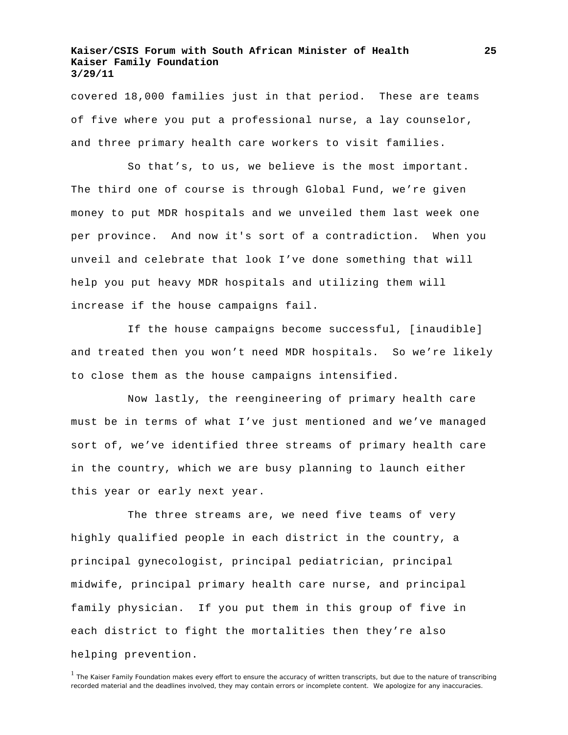covered 18,000 families just in that period. These are teams of five where you put a professional nurse, a lay counselor, and three primary health care workers to visit families.

So that's, to us, we believe is the most important. The third one of course is through Global Fund, we're given money to put MDR hospitals and we unveiled them last week one per province. And now it's sort of a contradiction. When you unveil and celebrate that look I've done something that will help you put heavy MDR hospitals and utilizing them will increase if the house campaigns fail.

If the house campaigns become successful, [inaudible] and treated then you won't need MDR hospitals. So we're likely to close them as the house campaigns intensified.

Now lastly, the reengineering of primary health care must be in terms of what I've just mentioned and we've managed sort of, we've identified three streams of primary health care in the country, which we are busy planning to launch either this year or early next year.

The three streams are, we need five teams of very highly qualified people in each district in the country, a principal gynecologist, principal pediatrician, principal midwife, principal primary health care nurse, and principal family physician. If you put them in this group of five in each district to fight the mortalities then they're also helping prevention.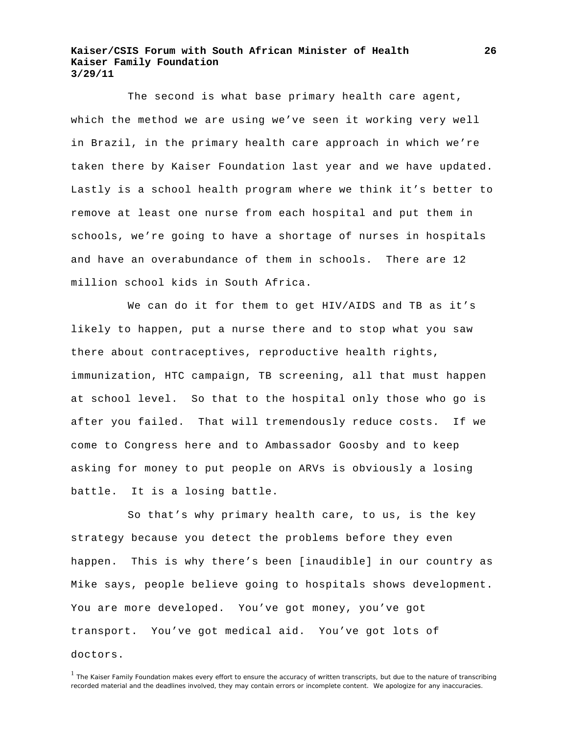The second is what base primary health care agent, which the method we are using we've seen it working very well in Brazil, in the primary health care approach in which we're taken there by Kaiser Foundation last year and we have updated. Lastly is a school health program where we think it's better to remove at least one nurse from each hospital and put them in schools, we're going to have a shortage of nurses in hospitals and have an overabundance of them in schools. There are 12 million school kids in South Africa.

We can do it for them to get HIV/AIDS and TB as it's likely to happen, put a nurse there and to stop what you saw there about contraceptives, reproductive health rights, immunization, HTC campaign, TB screening, all that must happen at school level. So that to the hospital only those who go is after you failed. That will tremendously reduce costs. If we come to Congress here and to Ambassador Goosby and to keep asking for money to put people on ARVs is obviously a losing battle. It is a losing battle.

So that's why primary health care, to us, is the key strategy because you detect the problems before they even happen. This is why there's been [inaudible] in our country as Mike says, people believe going to hospitals shows development. You are more developed. You've got money, you've got transport. You've got medical aid. You've got lots of doctors.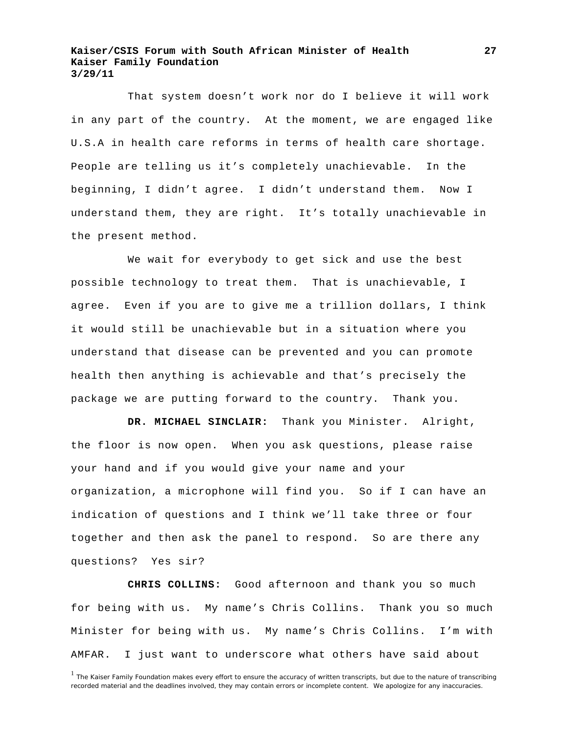That system doesn't work nor do I believe it will work in any part of the country. At the moment, we are engaged like U.S.A in health care reforms in terms of health care shortage. People are telling us it's completely unachievable. In the beginning, I didn't agree. I didn't understand them. Now I understand them, they are right. It's totally unachievable in the present method.

We wait for everybody to get sick and use the best possible technology to treat them. That is unachievable, I agree. Even if you are to give me a trillion dollars, I think it would still be unachievable but in a situation where you understand that disease can be prevented and you can promote health then anything is achievable and that's precisely the package we are putting forward to the country. Thank you.

**DR. MICHAEL SINCLAIR:** Thank you Minister. Alright, the floor is now open. When you ask questions, please raise your hand and if you would give your name and your organization, a microphone will find you. So if I can have an indication of questions and I think we'll take three or four together and then ask the panel to respond. So are there any questions? Yes sir?

**CHRIS COLLINS:** Good afternoon and thank you so much for being with us. My name's Chris Collins. Thank you so much Minister for being with us. My name's Chris Collins. I'm with AMFAR. I just want to underscore what others have said about

**27**

 $<sup>1</sup>$  The Kaiser Family Foundation makes every effort to ensure the accuracy of written transcripts, but due to the nature of transcribing</sup> recorded material and the deadlines involved, they may contain errors or incomplete content. We apologize for any inaccuracies.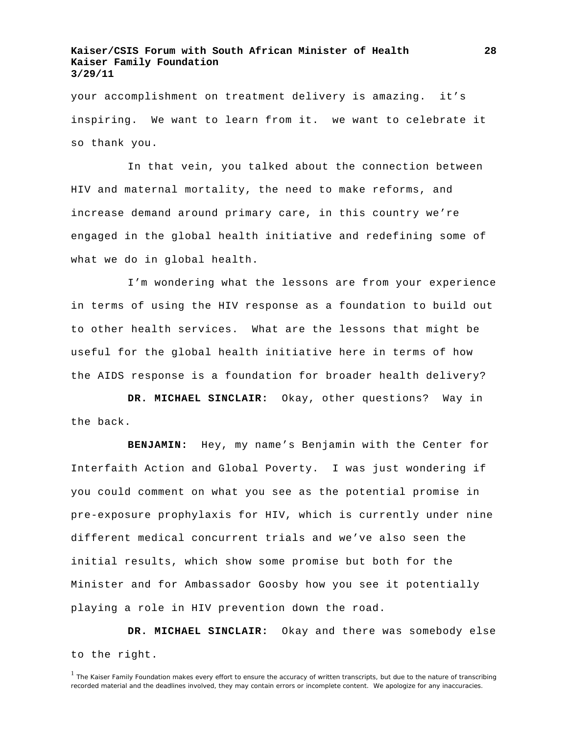your accomplishment on treatment delivery is amazing. it's inspiring. We want to learn from it. we want to celebrate it so thank you.

In that vein, you talked about the connection between HIV and maternal mortality, the need to make reforms, and increase demand around primary care, in this country we're engaged in the global health initiative and redefining some of what we do in global health.

I'm wondering what the lessons are from your experience in terms of using the HIV response as a foundation to build out to other health services. What are the lessons that might be useful for the global health initiative here in terms of how the AIDS response is a foundation for broader health delivery?

**DR. MICHAEL SINCLAIR:** Okay, other questions? Way in the back.

**BENJAMIN:** Hey, my name's Benjamin with the Center for Interfaith Action and Global Poverty. I was just wondering if you could comment on what you see as the potential promise in pre-exposure prophylaxis for HIV, which is currently under nine different medical concurrent trials and we've also seen the initial results, which show some promise but both for the Minister and for Ambassador Goosby how you see it potentially playing a role in HIV prevention down the road.

**DR. MICHAEL SINCLAIR:** Okay and there was somebody else to the right.

**28**

 $<sup>1</sup>$  The Kaiser Family Foundation makes every effort to ensure the accuracy of written transcripts, but due to the nature of transcribing</sup> recorded material and the deadlines involved, they may contain errors or incomplete content. We apologize for any inaccuracies.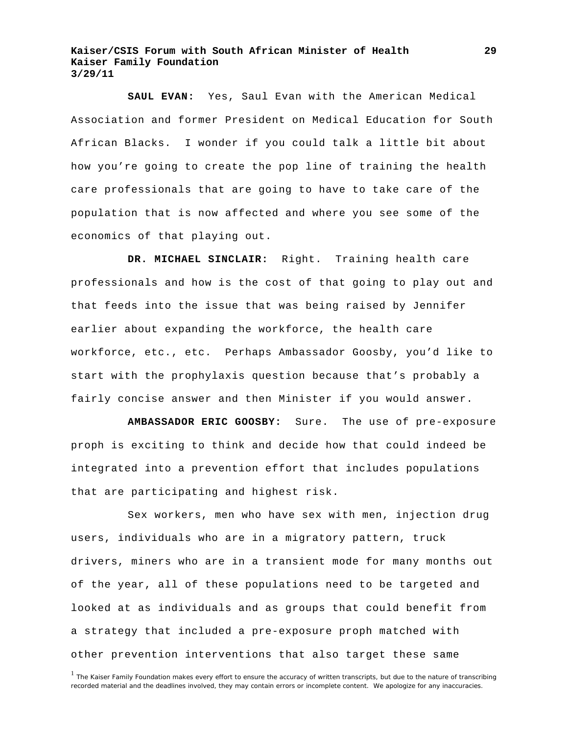**SAUL EVAN:** Yes, Saul Evan with the American Medical Association and former President on Medical Education for South African Blacks. I wonder if you could talk a little bit about how you're going to create the pop line of training the health care professionals that are going to have to take care of the population that is now affected and where you see some of the economics of that playing out.

**DR. MICHAEL SINCLAIR:** Right. Training health care professionals and how is the cost of that going to play out and that feeds into the issue that was being raised by Jennifer earlier about expanding the workforce, the health care workforce, etc., etc. Perhaps Ambassador Goosby, you'd like to start with the prophylaxis question because that's probably a fairly concise answer and then Minister if you would answer.

**AMBASSADOR ERIC GOOSBY:** Sure. The use of pre-exposure proph is exciting to think and decide how that could indeed be integrated into a prevention effort that includes populations that are participating and highest risk.

Sex workers, men who have sex with men, injection drug users, individuals who are in a migratory pattern, truck drivers, miners who are in a transient mode for many months out of the year, all of these populations need to be targeted and looked at as individuals and as groups that could benefit from a strategy that included a pre-exposure proph matched with other prevention interventions that also target these same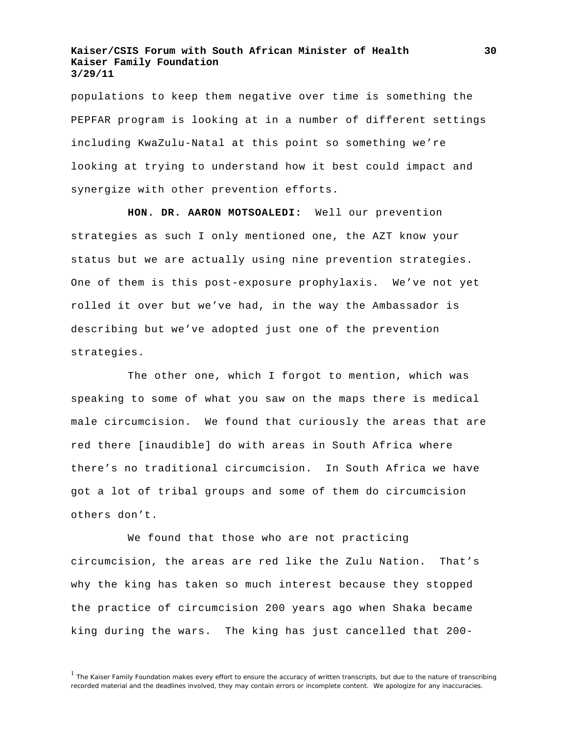populations to keep them negative over time is something the PEPFAR program is looking at in a number of different settings including KwaZulu-Natal at this point so something we're looking at trying to understand how it best could impact and synergize with other prevention efforts.

**HON. DR. AARON MOTSOALEDI:** Well our prevention strategies as such I only mentioned one, the AZT know your status but we are actually using nine prevention strategies. One of them is this post-exposure prophylaxis. We've not yet rolled it over but we've had, in the way the Ambassador is describing but we've adopted just one of the prevention strategies.

The other one, which I forgot to mention, which was speaking to some of what you saw on the maps there is medical male circumcision. We found that curiously the areas that are red there [inaudible] do with areas in South Africa where there's no traditional circumcision. In South Africa we have got a lot of tribal groups and some of them do circumcision others don't.

We found that those who are not practicing circumcision, the areas are red like the Zulu Nation. That's why the king has taken so much interest because they stopped the practice of circumcision 200 years ago when Shaka became king during the wars. The king has just cancelled that 200-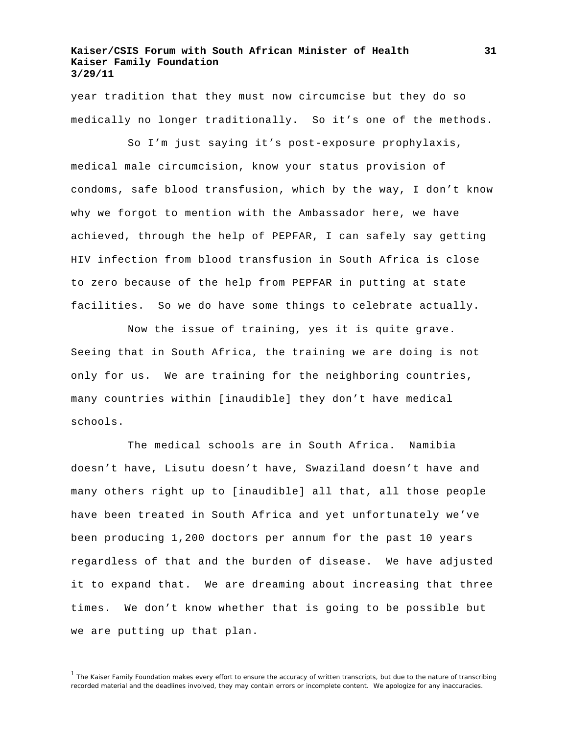year tradition that they must now circumcise but they do so medically no longer traditionally. So it's one of the methods.

So I'm just saying it's post-exposure prophylaxis, medical male circumcision, know your status provision of condoms, safe blood transfusion, which by the way, I don't know why we forgot to mention with the Ambassador here, we have achieved, through the help of PEPFAR, I can safely say getting HIV infection from blood transfusion in South Africa is close to zero because of the help from PEPFAR in putting at state facilities. So we do have some things to celebrate actually.

Now the issue of training, yes it is quite grave. Seeing that in South Africa, the training we are doing is not only for us. We are training for the neighboring countries, many countries within [inaudible] they don't have medical schools.

The medical schools are in South Africa. Namibia doesn't have, Lisutu doesn't have, Swaziland doesn't have and many others right up to [inaudible] all that, all those people have been treated in South Africa and yet unfortunately we've been producing 1,200 doctors per annum for the past 10 years regardless of that and the burden of disease. We have adjusted it to expand that. We are dreaming about increasing that three times. We don't know whether that is going to be possible but we are putting up that plan.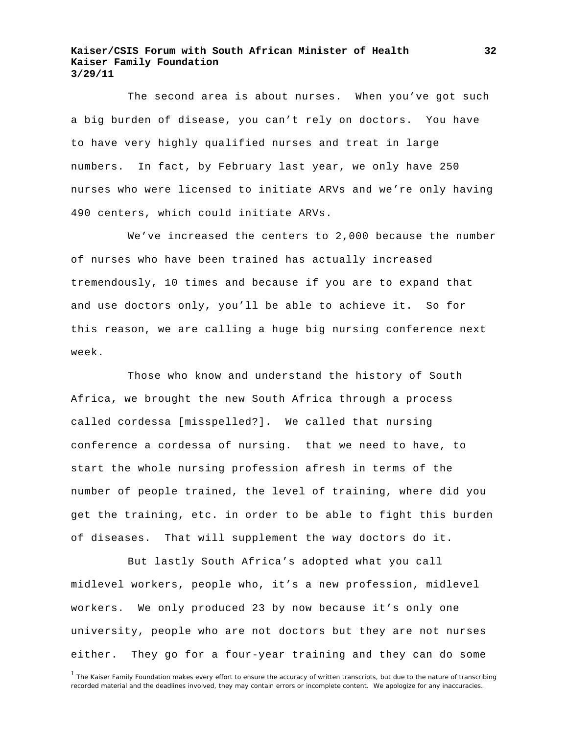The second area is about nurses. When you've got such a big burden of disease, you can't rely on doctors. You have to have very highly qualified nurses and treat in large numbers. In fact, by February last year, we only have 250 nurses who were licensed to initiate ARVs and we're only having 490 centers, which could initiate ARVs.

We've increased the centers to 2,000 because the number of nurses who have been trained has actually increased tremendously, 10 times and because if you are to expand that and use doctors only, you'll be able to achieve it. So for this reason, we are calling a huge big nursing conference next week.

Those who know and understand the history of South Africa, we brought the new South Africa through a process called cordessa [misspelled?]. We called that nursing conference a cordessa of nursing. that we need to have, to start the whole nursing profession afresh in terms of the number of people trained, the level of training, where did you get the training, etc. in order to be able to fight this burden of diseases. That will supplement the way doctors do it.

But lastly South Africa's adopted what you call midlevel workers, people who, it's a new profession, midlevel workers. We only produced 23 by now because it's only one university, people who are not doctors but they are not nurses either. They go for a four-year training and they can do some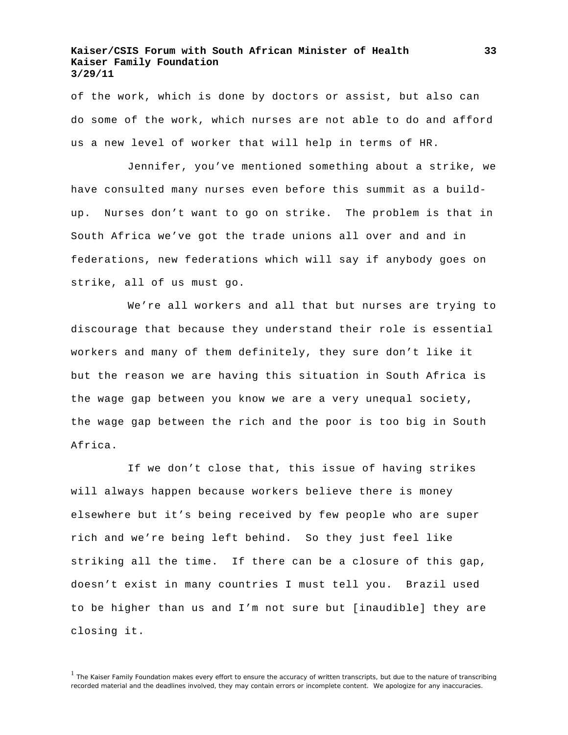of the work, which is done by doctors or assist, but also can do some of the work, which nurses are not able to do and afford us a new level of worker that will help in terms of HR.

Jennifer, you've mentioned something about a strike, we have consulted many nurses even before this summit as a buildup. Nurses don't want to go on strike. The problem is that in South Africa we've got the trade unions all over and and in federations, new federations which will say if anybody goes on strike, all of us must go.

We're all workers and all that but nurses are trying to discourage that because they understand their role is essential workers and many of them definitely, they sure don't like it but the reason we are having this situation in South Africa is the wage gap between you know we are a very unequal society, the wage gap between the rich and the poor is too big in South Africa.

If we don't close that, this issue of having strikes will always happen because workers believe there is money elsewhere but it's being received by few people who are super rich and we're being left behind. So they just feel like striking all the time. If there can be a closure of this gap, doesn't exist in many countries I must tell you. Brazil used to be higher than us and I'm not sure but [inaudible] they are closing it.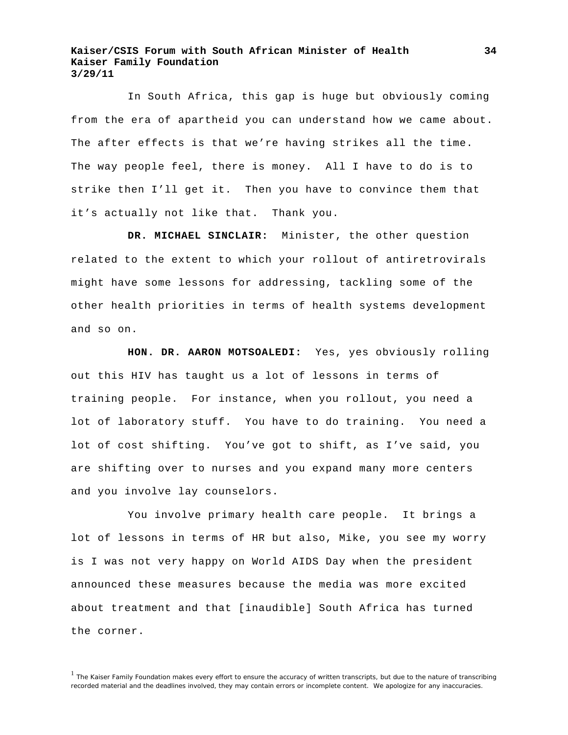In South Africa, this gap is huge but obviously coming from the era of apartheid you can understand how we came about. The after effects is that we're having strikes all the time. The way people feel, there is money. All I have to do is to strike then I'll get it. Then you have to convince them that it's actually not like that. Thank you.

**DR. MICHAEL SINCLAIR:** Minister, the other question related to the extent to which your rollout of antiretrovirals might have some lessons for addressing, tackling some of the other health priorities in terms of health systems development and so on.

**HON. DR. AARON MOTSOALEDI:** Yes, yes obviously rolling out this HIV has taught us a lot of lessons in terms of training people. For instance, when you rollout, you need a lot of laboratory stuff. You have to do training. You need a lot of cost shifting. You've got to shift, as I've said, you are shifting over to nurses and you expand many more centers and you involve lay counselors.

You involve primary health care people. It brings a lot of lessons in terms of HR but also, Mike, you see my worry is I was not very happy on World AIDS Day when the president announced these measures because the media was more excited about treatment and that [inaudible] South Africa has turned the corner.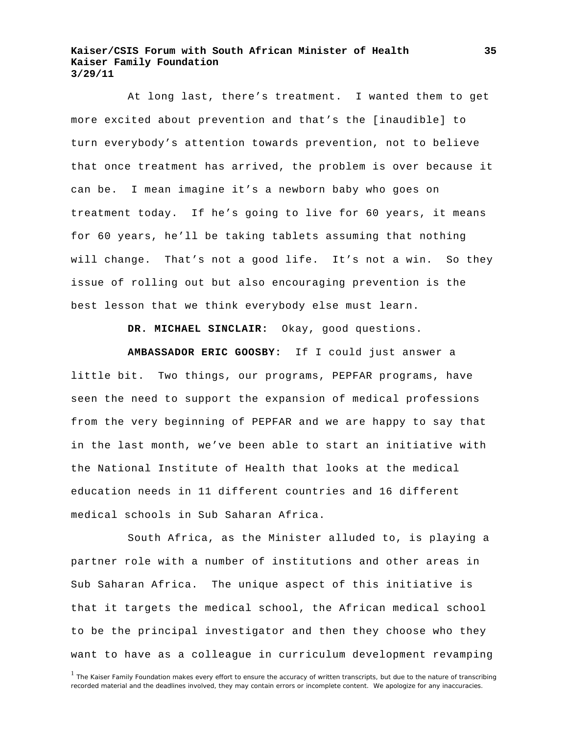At long last, there's treatment. I wanted them to get more excited about prevention and that's the [inaudible] to turn everybody's attention towards prevention, not to believe that once treatment has arrived, the problem is over because it can be. I mean imagine it's a newborn baby who goes on treatment today. If he's going to live for 60 years, it means for 60 years, he'll be taking tablets assuming that nothing will change. That's not a good life. It's not a win. So they issue of rolling out but also encouraging prevention is the best lesson that we think everybody else must learn.

**DR. MICHAEL SINCLAIR:** Okay, good questions.

**AMBASSADOR ERIC GOOSBY:** If I could just answer a little bit. Two things, our programs, PEPFAR programs, have seen the need to support the expansion of medical professions from the very beginning of PEPFAR and we are happy to say that in the last month, we've been able to start an initiative with the National Institute of Health that looks at the medical education needs in 11 different countries and 16 different medical schools in Sub Saharan Africa.

South Africa, as the Minister alluded to, is playing a partner role with a number of institutions and other areas in Sub Saharan Africa. The unique aspect of this initiative is that it targets the medical school, the African medical school to be the principal investigator and then they choose who they want to have as a colleague in curriculum development revamping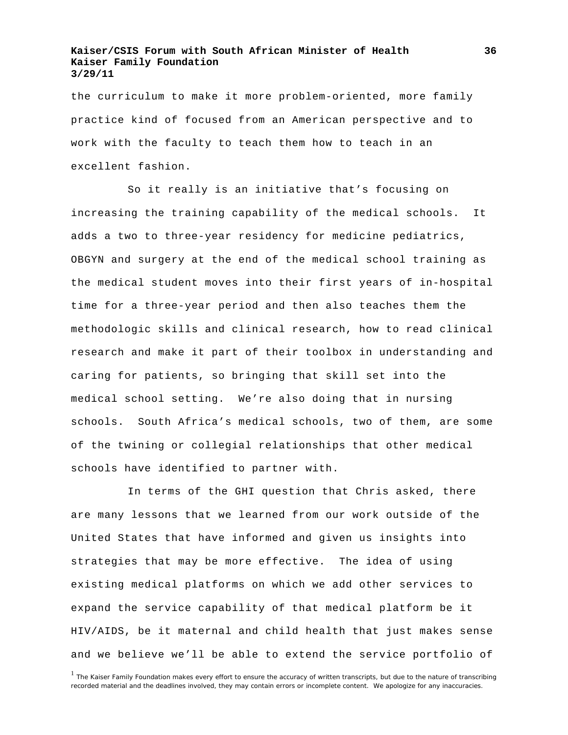the curriculum to make it more problem-oriented, more family practice kind of focused from an American perspective and to work with the faculty to teach them how to teach in an excellent fashion.

So it really is an initiative that's focusing on increasing the training capability of the medical schools. It adds a two to three-year residency for medicine pediatrics, OBGYN and surgery at the end of the medical school training as the medical student moves into their first years of in-hospital time for a three-year period and then also teaches them the methodologic skills and clinical research, how to read clinical research and make it part of their toolbox in understanding and caring for patients, so bringing that skill set into the medical school setting. We're also doing that in nursing schools. South Africa's medical schools, two of them, are some of the twining or collegial relationships that other medical schools have identified to partner with.

In terms of the GHI question that Chris asked, there are many lessons that we learned from our work outside of the United States that have informed and given us insights into strategies that may be more effective. The idea of using existing medical platforms on which we add other services to expand the service capability of that medical platform be it HIV/AIDS, be it maternal and child health that just makes sense and we believe we'll be able to extend the service portfolio of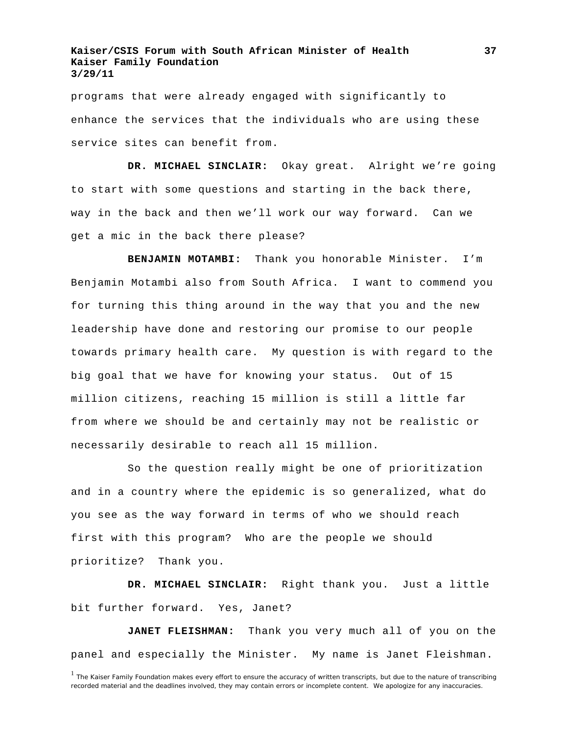programs that were already engaged with significantly to enhance the services that the individuals who are using these service sites can benefit from.

**DR. MICHAEL SINCLAIR:** Okay great. Alright we're going to start with some questions and starting in the back there, way in the back and then we'll work our way forward. Can we get a mic in the back there please?

**BENJAMIN MOTAMBI:** Thank you honorable Minister. I'm Benjamin Motambi also from South Africa. I want to commend you for turning this thing around in the way that you and the new leadership have done and restoring our promise to our people towards primary health care. My question is with regard to the big goal that we have for knowing your status. Out of 15 million citizens, reaching 15 million is still a little far from where we should be and certainly may not be realistic or necessarily desirable to reach all 15 million.

So the question really might be one of prioritization and in a country where the epidemic is so generalized, what do you see as the way forward in terms of who we should reach first with this program? Who are the people we should prioritize? Thank you.

**DR. MICHAEL SINCLAIR:** Right thank you. Just a little bit further forward. Yes, Janet?

**JANET FLEISHMAN:** Thank you very much all of you on the panel and especially the Minister. My name is Janet Fleishman.

**37**

<sup>&</sup>lt;sup>1</sup> The Kaiser Family Foundation makes every effort to ensure the accuracy of written transcripts, but due to the nature of transcribing recorded material and the deadlines involved, they may contain errors or incomplete content. We apologize for any inaccuracies.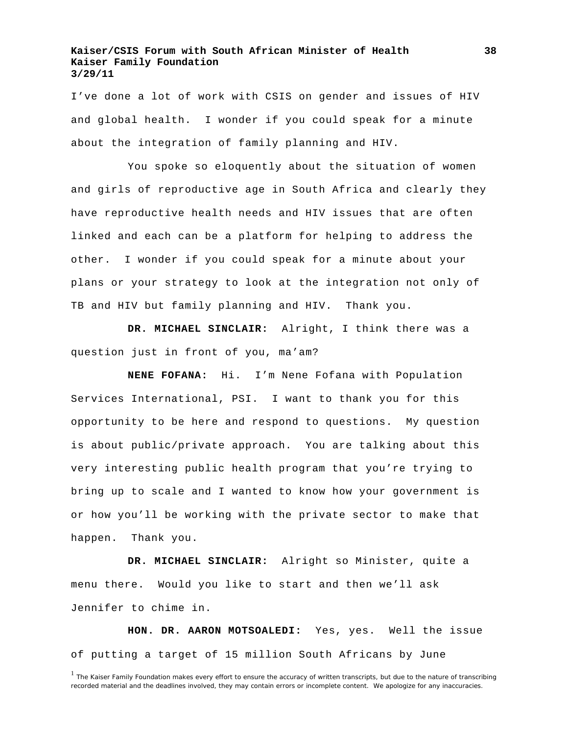I've done a lot of work with CSIS on gender and issues of HIV and global health. I wonder if you could speak for a minute about the integration of family planning and HIV.

You spoke so eloquently about the situation of women and girls of reproductive age in South Africa and clearly they have reproductive health needs and HIV issues that are often linked and each can be a platform for helping to address the other. I wonder if you could speak for a minute about your plans or your strategy to look at the integration not only of TB and HIV but family planning and HIV. Thank you.

**DR. MICHAEL SINCLAIR:** Alright, I think there was a question just in front of you, ma'am?

**NENE FOFANA:** Hi. I'm Nene Fofana with Population Services International, PSI. I want to thank you for this opportunity to be here and respond to questions. My question is about public/private approach. You are talking about this very interesting public health program that you're trying to bring up to scale and I wanted to know how your government is or how you'll be working with the private sector to make that happen. Thank you.

**DR. MICHAEL SINCLAIR:** Alright so Minister, quite a menu there. Would you like to start and then we'll ask Jennifer to chime in.

**HON. DR. AARON MOTSOALEDI:** Yes, yes. Well the issue of putting a target of 15 million South Africans by June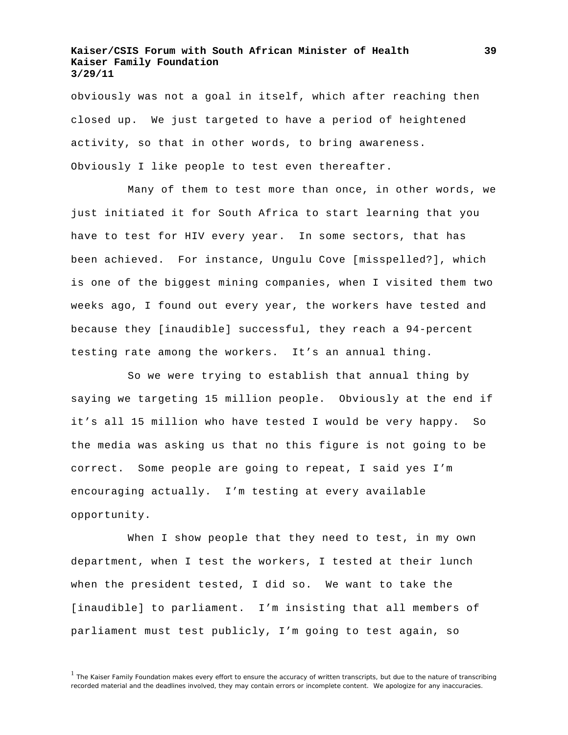obviously was not a goal in itself, which after reaching then closed up. We just targeted to have a period of heightened activity, so that in other words, to bring awareness. Obviously I like people to test even thereafter.

Many of them to test more than once, in other words, we just initiated it for South Africa to start learning that you have to test for HIV every year. In some sectors, that has been achieved. For instance, Ungulu Cove [misspelled?], which is one of the biggest mining companies, when I visited them two weeks ago, I found out every year, the workers have tested and because they [inaudible] successful, they reach a 94-percent testing rate among the workers. It's an annual thing.

So we were trying to establish that annual thing by saying we targeting 15 million people. Obviously at the end if it's all 15 million who have tested I would be very happy. So the media was asking us that no this figure is not going to be correct. Some people are going to repeat, I said yes I'm encouraging actually. I'm testing at every available opportunity.

When I show people that they need to test, in my own department, when I test the workers, I tested at their lunch when the president tested, I did so. We want to take the [inaudible] to parliament. I'm insisting that all members of parliament must test publicly, I'm going to test again, so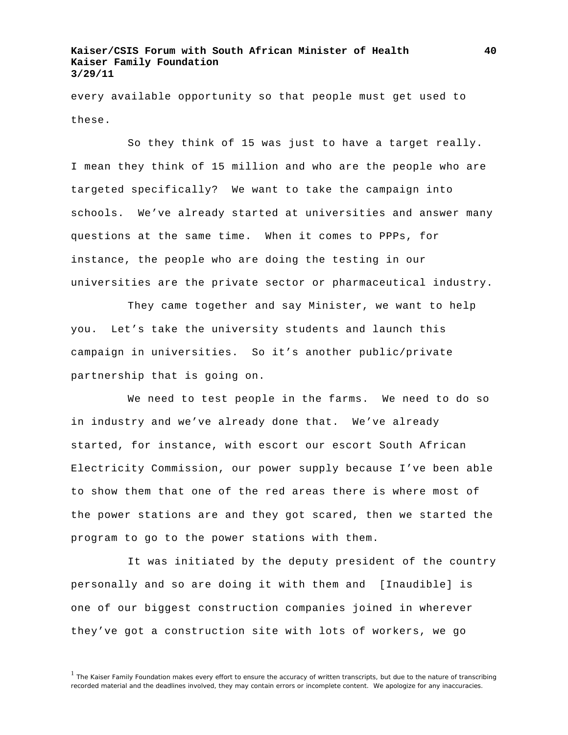every available opportunity so that people must get used to these.

So they think of 15 was just to have a target really. I mean they think of 15 million and who are the people who are targeted specifically? We want to take the campaign into schools. We've already started at universities and answer many questions at the same time. When it comes to PPPs, for instance, the people who are doing the testing in our universities are the private sector or pharmaceutical industry.

They came together and say Minister, we want to help you. Let's take the university students and launch this campaign in universities. So it's another public/private partnership that is going on.

We need to test people in the farms. We need to do so in industry and we've already done that. We've already started, for instance, with escort our escort South African Electricity Commission, our power supply because I've been able to show them that one of the red areas there is where most of the power stations are and they got scared, then we started the program to go to the power stations with them.

It was initiated by the deputy president of the country personally and so are doing it with them and [Inaudible] is one of our biggest construction companies joined in wherever they've got a construction site with lots of workers, we go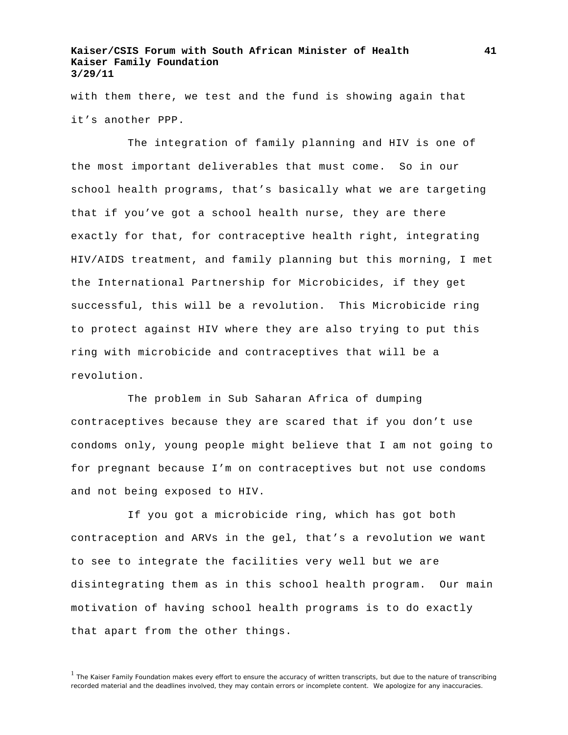with them there, we test and the fund is showing again that it's another PPP.

The integration of family planning and HIV is one of the most important deliverables that must come. So in our school health programs, that's basically what we are targeting that if you've got a school health nurse, they are there exactly for that, for contraceptive health right, integrating HIV/AIDS treatment, and family planning but this morning, I met the International Partnership for Microbicides, if they get successful, this will be a revolution. This Microbicide ring to protect against HIV where they are also trying to put this ring with microbicide and contraceptives that will be a revolution.

The problem in Sub Saharan Africa of dumping contraceptives because they are scared that if you don't use condoms only, young people might believe that I am not going to for pregnant because I'm on contraceptives but not use condoms and not being exposed to HIV.

If you got a microbicide ring, which has got both contraception and ARVs in the gel, that's a revolution we want to see to integrate the facilities very well but we are disintegrating them as in this school health program. Our main motivation of having school health programs is to do exactly that apart from the other things.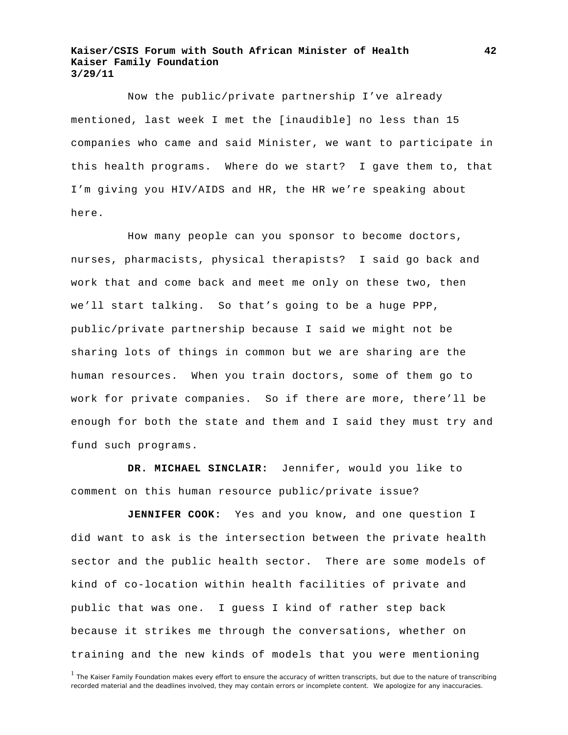Now the public/private partnership I've already mentioned, last week I met the [inaudible] no less than 15 companies who came and said Minister, we want to participate in this health programs. Where do we start? I gave them to, that I'm giving you HIV/AIDS and HR, the HR we're speaking about here.

How many people can you sponsor to become doctors, nurses, pharmacists, physical therapists? I said go back and work that and come back and meet me only on these two, then we'll start talking. So that's going to be a huge PPP, public/private partnership because I said we might not be sharing lots of things in common but we are sharing are the human resources. When you train doctors, some of them go to work for private companies. So if there are more, there'll be enough for both the state and them and I said they must try and fund such programs.

**DR. MICHAEL SINCLAIR:** Jennifer, would you like to comment on this human resource public/private issue?

**JENNIFER COOK:** Yes and you know, and one question I did want to ask is the intersection between the private health sector and the public health sector. There are some models of kind of co-location within health facilities of private and public that was one. I guess I kind of rather step back because it strikes me through the conversations, whether on training and the new kinds of models that you were mentioning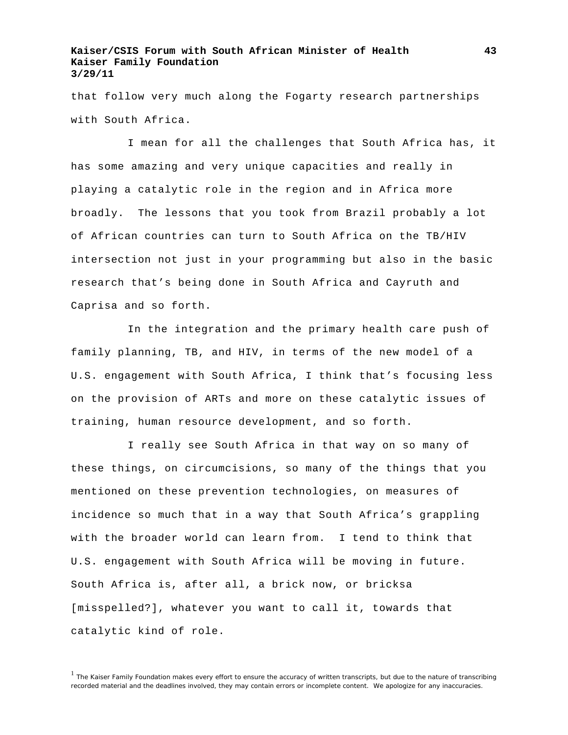that follow very much along the Fogarty research partnerships with South Africa.

I mean for all the challenges that South Africa has, it has some amazing and very unique capacities and really in playing a catalytic role in the region and in Africa more broadly. The lessons that you took from Brazil probably a lot of African countries can turn to South Africa on the TB/HIV intersection not just in your programming but also in the basic research that's being done in South Africa and Cayruth and Caprisa and so forth.

In the integration and the primary health care push of family planning, TB, and HIV, in terms of the new model of a U.S. engagement with South Africa, I think that's focusing less on the provision of ARTs and more on these catalytic issues of training, human resource development, and so forth.

I really see South Africa in that way on so many of these things, on circumcisions, so many of the things that you mentioned on these prevention technologies, on measures of incidence so much that in a way that South Africa's grappling with the broader world can learn from. I tend to think that U.S. engagement with South Africa will be moving in future. South Africa is, after all, a brick now, or bricksa [misspelled?], whatever you want to call it, towards that catalytic kind of role.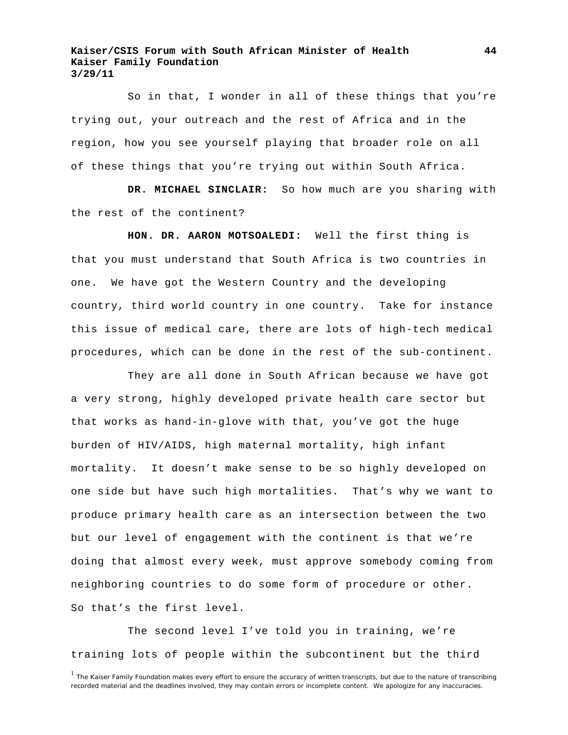So in that, I wonder in all of these things that you're trying out, your outreach and the rest of Africa and in the region, how you see yourself playing that broader role on all of these things that you're trying out within South Africa.

**DR. MICHAEL SINCLAIR:** So how much are you sharing with the rest of the continent?

**HON. DR. AARON MOTSOALEDI:** Well the first thing is that you must understand that South Africa is two countries in one. We have got the Western Country and the developing country, third world country in one country. Take for instance this issue of medical care, there are lots of high-tech medical procedures, which can be done in the rest of the sub-continent.

They are all done in South African because we have got a very strong, highly developed private health care sector but that works as hand-in-glove with that, you've got the huge burden of HIV/AIDS, high maternal mortality, high infant mortality. It doesn't make sense to be so highly developed on one side but have such high mortalities. That's why we want to produce primary health care as an intersection between the two but our level of engagement with the continent is that we're doing that almost every week, must approve somebody coming from neighboring countries to do some form of procedure or other. So that's the first level.

The second level I've told you in training, we're training lots of people within the subcontinent but the third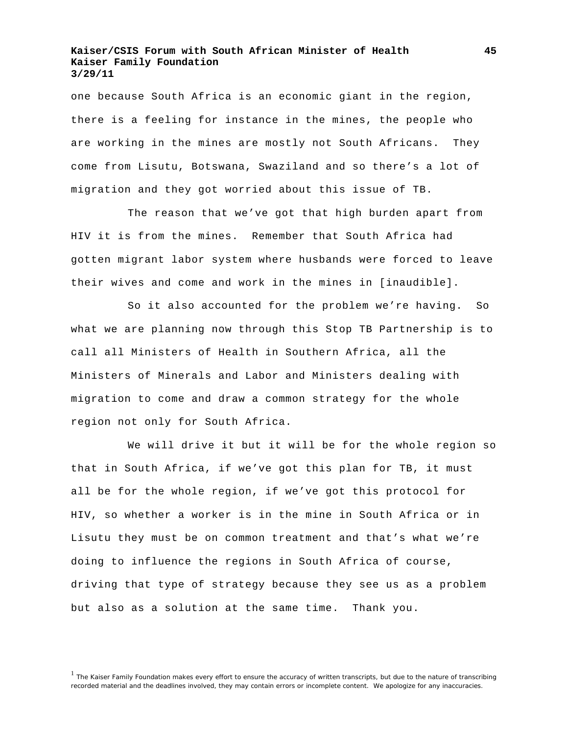one because South Africa is an economic giant in the region, there is a feeling for instance in the mines, the people who are working in the mines are mostly not South Africans. They come from Lisutu, Botswana, Swaziland and so there's a lot of migration and they got worried about this issue of TB.

The reason that we've got that high burden apart from HIV it is from the mines. Remember that South Africa had gotten migrant labor system where husbands were forced to leave their wives and come and work in the mines in [inaudible].

So it also accounted for the problem we're having. So what we are planning now through this Stop TB Partnership is to call all Ministers of Health in Southern Africa, all the Ministers of Minerals and Labor and Ministers dealing with migration to come and draw a common strategy for the whole region not only for South Africa.

We will drive it but it will be for the whole region so that in South Africa, if we've got this plan for TB, it must all be for the whole region, if we've got this protocol for HIV, so whether a worker is in the mine in South Africa or in Lisutu they must be on common treatment and that's what we're doing to influence the regions in South Africa of course, driving that type of strategy because they see us as a problem but also as a solution at the same time. Thank you.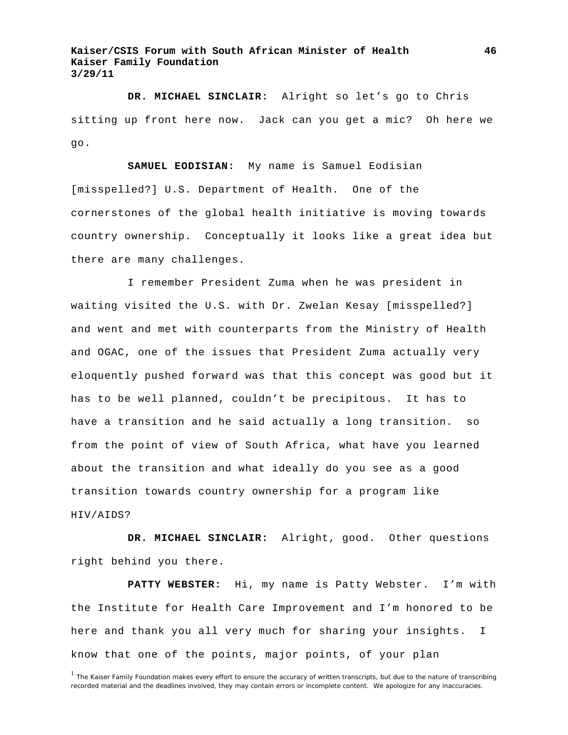**DR. MICHAEL SINCLAIR:** Alright so let's go to Chris sitting up front here now. Jack can you get a mic? Oh here we go.

**SAMUEL EODISIAN:** My name is Samuel Eodisian

[misspelled?] U.S. Department of Health. One of the cornerstones of the global health initiative is moving towards country ownership. Conceptually it looks like a great idea but there are many challenges.

I remember President Zuma when he was president in waiting visited the U.S. with Dr. Zwelan Kesay [misspelled?] and went and met with counterparts from the Ministry of Health and OGAC, one of the issues that President Zuma actually very eloquently pushed forward was that this concept was good but it has to be well planned, couldn't be precipitous. It has to have a transition and he said actually a long transition. so from the point of view of South Africa, what have you learned about the transition and what ideally do you see as a good transition towards country ownership for a program like HIV/AIDS?

**DR. MICHAEL SINCLAIR:** Alright, good. Other questions right behind you there.

**PATTY WEBSTER:** Hi, my name is Patty Webster. I'm with the Institute for Health Care Improvement and I'm honored to be here and thank you all very much for sharing your insights. I know that one of the points, major points, of your plan

**46**

 $<sup>1</sup>$  The Kaiser Family Foundation makes every effort to ensure the accuracy of written transcripts, but due to the nature of transcribing</sup> recorded material and the deadlines involved, they may contain errors or incomplete content. We apologize for any inaccuracies.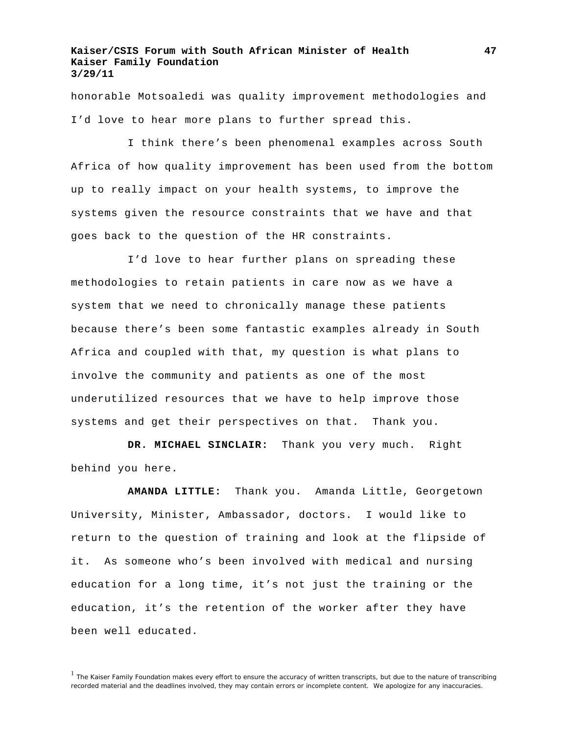honorable Motsoaledi was quality improvement methodologies and I'd love to hear more plans to further spread this.

I think there's been phenomenal examples across South Africa of how quality improvement has been used from the bottom up to really impact on your health systems, to improve the systems given the resource constraints that we have and that goes back to the question of the HR constraints.

I'd love to hear further plans on spreading these methodologies to retain patients in care now as we have a system that we need to chronically manage these patients because there's been some fantastic examples already in South Africa and coupled with that, my question is what plans to involve the community and patients as one of the most underutilized resources that we have to help improve those systems and get their perspectives on that. Thank you.

**DR. MICHAEL SINCLAIR:** Thank you very much. Right behind you here.

**AMANDA LITTLE:** Thank you. Amanda Little, Georgetown University, Minister, Ambassador, doctors. I would like to return to the question of training and look at the flipside of it. As someone who's been involved with medical and nursing education for a long time, it's not just the training or the education, it's the retention of the worker after they have been well educated.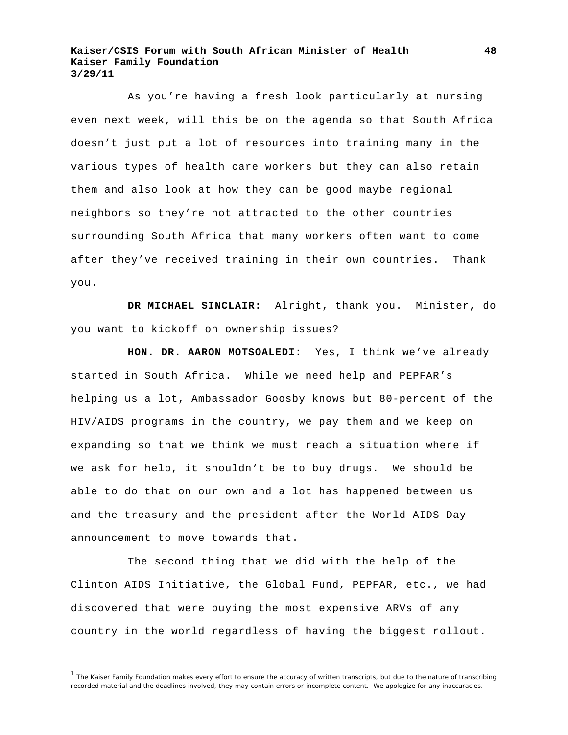As you're having a fresh look particularly at nursing even next week, will this be on the agenda so that South Africa doesn't just put a lot of resources into training many in the various types of health care workers but they can also retain them and also look at how they can be good maybe regional neighbors so they're not attracted to the other countries surrounding South Africa that many workers often want to come after they've received training in their own countries. Thank you.

**DR MICHAEL SINCLAIR:** Alright, thank you. Minister, do you want to kickoff on ownership issues?

**HON. DR. AARON MOTSOALEDI:** Yes, I think we've already started in South Africa. While we need help and PEPFAR's helping us a lot, Ambassador Goosby knows but 80-percent of the HIV/AIDS programs in the country, we pay them and we keep on expanding so that we think we must reach a situation where if we ask for help, it shouldn't be to buy drugs. We should be able to do that on our own and a lot has happened between us and the treasury and the president after the World AIDS Day announcement to move towards that.

The second thing that we did with the help of the Clinton AIDS Initiative, the Global Fund, PEPFAR, etc., we had discovered that were buying the most expensive ARVs of any country in the world regardless of having the biggest rollout.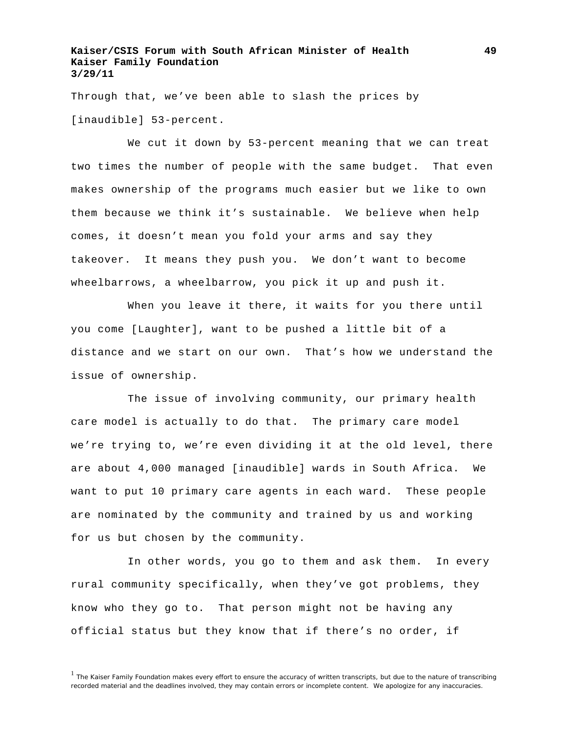Through that, we've been able to slash the prices by [inaudible] 53-percent.

We cut it down by 53-percent meaning that we can treat two times the number of people with the same budget. That even makes ownership of the programs much easier but we like to own them because we think it's sustainable. We believe when help comes, it doesn't mean you fold your arms and say they takeover. It means they push you. We don't want to become wheelbarrows, a wheelbarrow, you pick it up and push it.

When you leave it there, it waits for you there until you come [Laughter], want to be pushed a little bit of a distance and we start on our own. That's how we understand the issue of ownership.

The issue of involving community, our primary health care model is actually to do that. The primary care model we're trying to, we're even dividing it at the old level, there are about 4,000 managed [inaudible] wards in South Africa. We want to put 10 primary care agents in each ward. These people are nominated by the community and trained by us and working for us but chosen by the community.

In other words, you go to them and ask them. In every rural community specifically, when they've got problems, they know who they go to. That person might not be having any official status but they know that if there's no order, if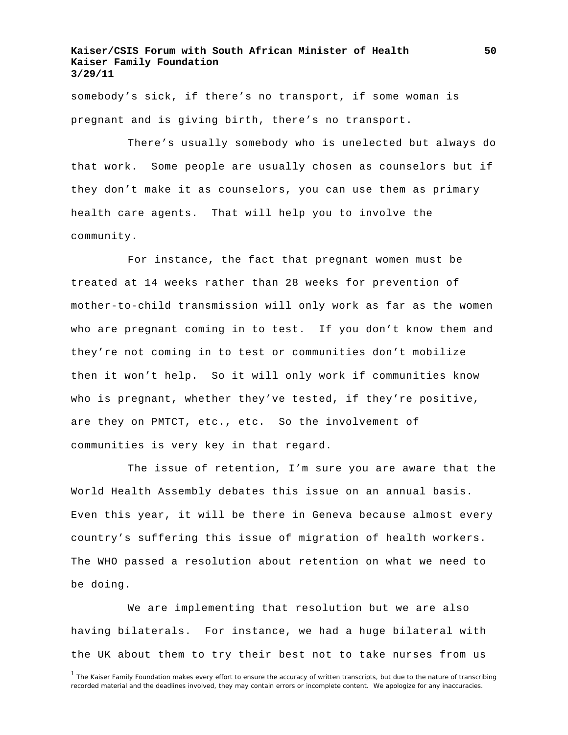somebody's sick, if there's no transport, if some woman is pregnant and is giving birth, there's no transport.

There's usually somebody who is unelected but always do that work. Some people are usually chosen as counselors but if they don't make it as counselors, you can use them as primary health care agents. That will help you to involve the community.

For instance, the fact that pregnant women must be treated at 14 weeks rather than 28 weeks for prevention of mother-to-child transmission will only work as far as the women who are pregnant coming in to test. If you don't know them and they're not coming in to test or communities don't mobilize then it won't help. So it will only work if communities know who is pregnant, whether they've tested, if they're positive, are they on PMTCT, etc., etc. So the involvement of communities is very key in that regard.

The issue of retention, I'm sure you are aware that the World Health Assembly debates this issue on an annual basis. Even this year, it will be there in Geneva because almost every country's suffering this issue of migration of health workers. The WHO passed a resolution about retention on what we need to be doing.

We are implementing that resolution but we are also having bilaterals. For instance, we had a huge bilateral with the UK about them to try their best not to take nurses from us

**50**

<sup>&</sup>lt;sup>1</sup> The Kaiser Family Foundation makes every effort to ensure the accuracy of written transcripts, but due to the nature of transcribing recorded material and the deadlines involved, they may contain errors or incomplete content. We apologize for any inaccuracies.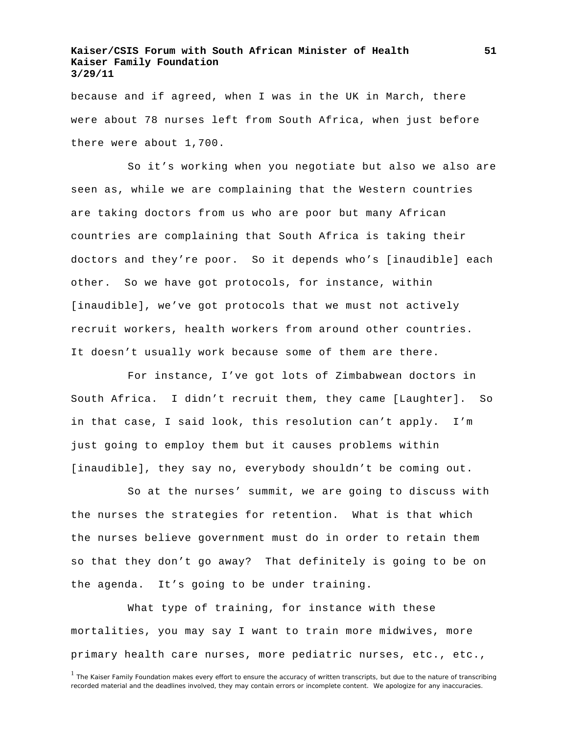because and if agreed, when I was in the UK in March, there were about 78 nurses left from South Africa, when just before there were about 1,700.

So it's working when you negotiate but also we also are seen as, while we are complaining that the Western countries are taking doctors from us who are poor but many African countries are complaining that South Africa is taking their doctors and they're poor. So it depends who's [inaudible] each other. So we have got protocols, for instance, within [inaudible], we've got protocols that we must not actively recruit workers, health workers from around other countries. It doesn't usually work because some of them are there.

For instance, I've got lots of Zimbabwean doctors in South Africa. I didn't recruit them, they came [Laughter]. So in that case, I said look, this resolution can't apply. I'm just going to employ them but it causes problems within [inaudible], they say no, everybody shouldn't be coming out.

So at the nurses' summit, we are going to discuss with the nurses the strategies for retention. What is that which the nurses believe government must do in order to retain them so that they don't go away? That definitely is going to be on the agenda. It's going to be under training.

What type of training, for instance with these mortalities, you may say I want to train more midwives, more primary health care nurses, more pediatric nurses, etc., etc.,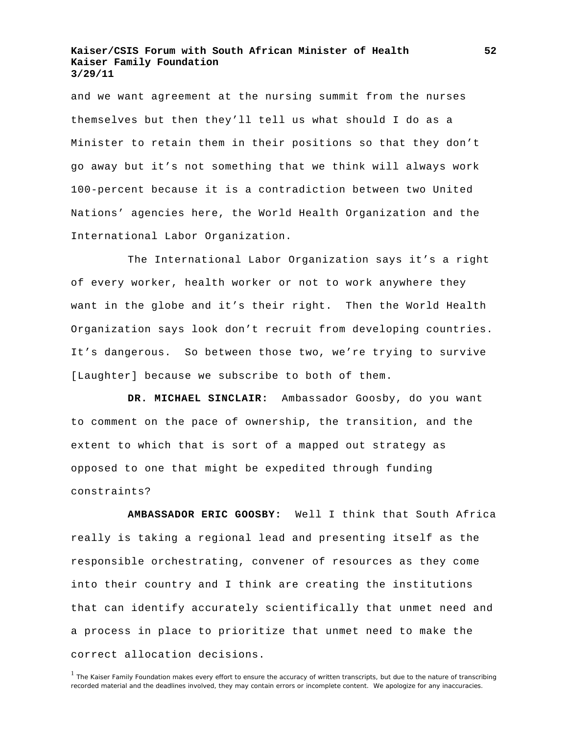and we want agreement at the nursing summit from the nurses themselves but then they'll tell us what should I do as a Minister to retain them in their positions so that they don't go away but it's not something that we think will always work 100-percent because it is a contradiction between two United Nations' agencies here, the World Health Organization and the International Labor Organization.

The International Labor Organization says it's a right of every worker, health worker or not to work anywhere they want in the globe and it's their right. Then the World Health Organization says look don't recruit from developing countries. It's dangerous. So between those two, we're trying to survive [Laughter] because we subscribe to both of them.

**DR. MICHAEL SINCLAIR:** Ambassador Goosby, do you want to comment on the pace of ownership, the transition, and the extent to which that is sort of a mapped out strategy as opposed to one that might be expedited through funding constraints?

**AMBASSADOR ERIC GOOSBY:** Well I think that South Africa really is taking a regional lead and presenting itself as the responsible orchestrating, convener of resources as they come into their country and I think are creating the institutions that can identify accurately scientifically that unmet need and a process in place to prioritize that unmet need to make the correct allocation decisions.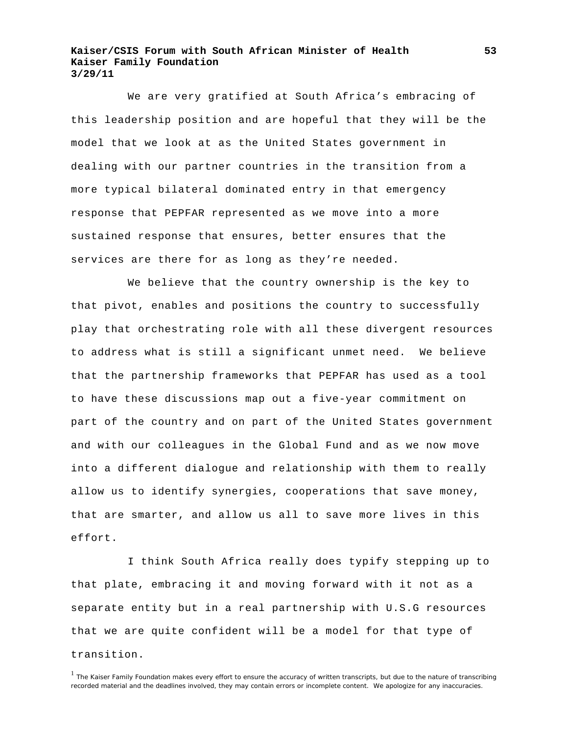We are very gratified at South Africa's embracing of this leadership position and are hopeful that they will be the model that we look at as the United States government in dealing with our partner countries in the transition from a more typical bilateral dominated entry in that emergency response that PEPFAR represented as we move into a more sustained response that ensures, better ensures that the services are there for as long as they're needed.

We believe that the country ownership is the key to that pivot, enables and positions the country to successfully play that orchestrating role with all these divergent resources to address what is still a significant unmet need. We believe that the partnership frameworks that PEPFAR has used as a tool to have these discussions map out a five-year commitment on part of the country and on part of the United States government and with our colleagues in the Global Fund and as we now move into a different dialogue and relationship with them to really allow us to identify synergies, cooperations that save money, that are smarter, and allow us all to save more lives in this effort.

I think South Africa really does typify stepping up to that plate, embracing it and moving forward with it not as a separate entity but in a real partnership with U.S.G resources that we are quite confident will be a model for that type of transition.

 $<sup>1</sup>$  The Kaiser Family Foundation makes every effort to ensure the accuracy of written transcripts, but due to the nature of transcribing</sup> recorded material and the deadlines involved, they may contain errors or incomplete content. We apologize for any inaccuracies.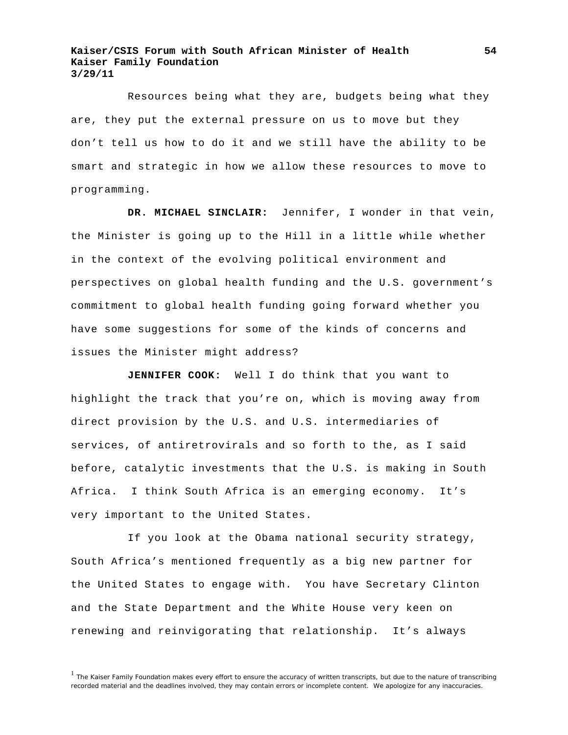Resources being what they are, budgets being what they are, they put the external pressure on us to move but they don't tell us how to do it and we still have the ability to be smart and strategic in how we allow these resources to move to programming.

**DR. MICHAEL SINCLAIR:** Jennifer, I wonder in that vein, the Minister is going up to the Hill in a little while whether in the context of the evolving political environment and perspectives on global health funding and the U.S. government's commitment to global health funding going forward whether you have some suggestions for some of the kinds of concerns and issues the Minister might address?

**JENNIFER COOK:** Well I do think that you want to highlight the track that you're on, which is moving away from direct provision by the U.S. and U.S. intermediaries of services, of antiretrovirals and so forth to the, as I said before, catalytic investments that the U.S. is making in South Africa. I think South Africa is an emerging economy. It's very important to the United States.

If you look at the Obama national security strategy, South Africa's mentioned frequently as a big new partner for the United States to engage with. You have Secretary Clinton and the State Department and the White House very keen on renewing and reinvigorating that relationship. It's always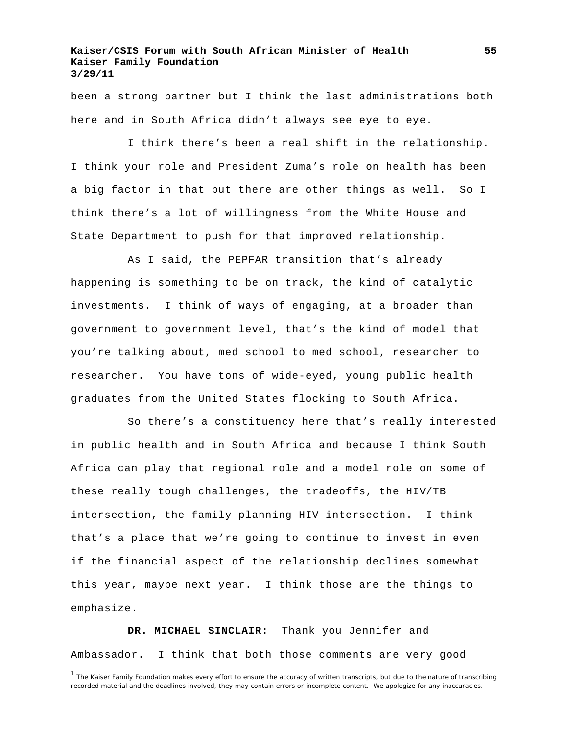been a strong partner but I think the last administrations both here and in South Africa didn't always see eye to eye.

I think there's been a real shift in the relationship. I think your role and President Zuma's role on health has been a big factor in that but there are other things as well. So I think there's a lot of willingness from the White House and State Department to push for that improved relationship.

As I said, the PEPFAR transition that's already happening is something to be on track, the kind of catalytic investments. I think of ways of engaging, at a broader than government to government level, that's the kind of model that you're talking about, med school to med school, researcher to researcher. You have tons of wide-eyed, young public health graduates from the United States flocking to South Africa.

So there's a constituency here that's really interested in public health and in South Africa and because I think South Africa can play that regional role and a model role on some of these really tough challenges, the tradeoffs, the HIV/TB intersection, the family planning HIV intersection. I think that's a place that we're going to continue to invest in even if the financial aspect of the relationship declines somewhat this year, maybe next year. I think those are the things to emphasize.

**DR. MICHAEL SINCLAIR:** Thank you Jennifer and Ambassador. I think that both those comments are very good